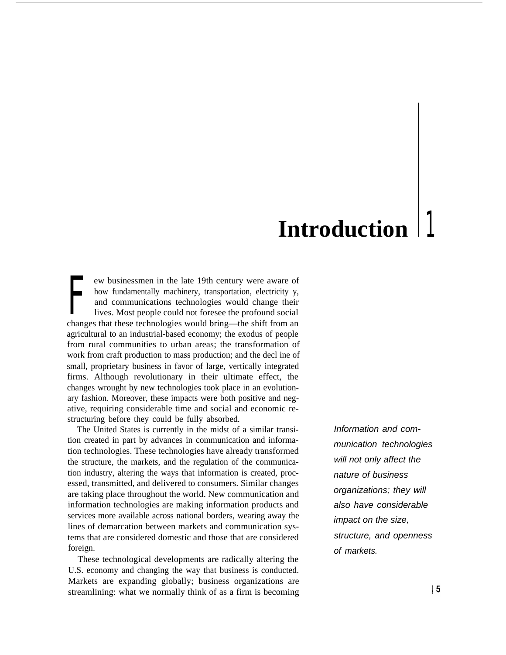# **Introduction**

 $\prod_{\substack{\text{an }\\ \text{in }}}$ ew businessmen in the late 19th century were aware of how fundamentally machinery, transportation, electricity y, and communications technologies would change their lives. Most people could not foresee the profound social changes that these technologies would bring—the shift from an agricultural to an industrial-based economy; the exodus of people from rural communities to urban areas; the transformation of work from craft production to mass production; and the decl ine of small, proprietary business in favor of large, vertically integrated firms. Although revolutionary in their ultimate effect, the changes wrought by new technologies took place in an evolutionary fashion. Moreover, these impacts were both positive and negative, requiring considerable time and social and economic restructuring before they could be fully absorbed.

The United States is currently in the midst of a similar transition created in part by advances in communication and information technologies. These technologies have already transformed the structure, the markets, and the regulation of the communication industry, altering the ways that information is created, processed, transmitted, and delivered to consumers. Similar changes are taking place throughout the world. New communication and information technologies are making information products and services more available across national borders, wearing away the lines of demarcation between markets and communication systems that are considered domestic and those that are considered foreign.

These technological developments are radically altering the U.S. economy and changing the way that business is conducted. Markets are expanding globally; business organizations are streamlining: what we normally think of as a firm is becoming Information and communication technologies will not only affect the nature of business organizations; they will also have considerable impact on the size, structure, and openness of markets.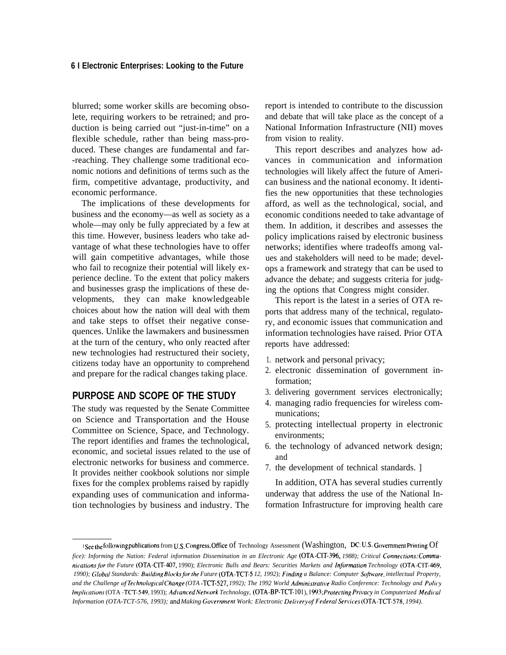blurred; some worker skills are becoming obsolete, requiring workers to be retrained; and production is being carried out "just-in-time" on a flexible schedule, rather than being mass-produced. These changes are fundamental and far- -reaching. They challenge some traditional economic notions and definitions of terms such as the firm, competitive advantage, productivity, and economic performance.

The implications of these developments for business and the economy—as well as society as a whole—may only be fully appreciated by a few at this time. However, business leaders who take advantage of what these technologies have to offer will gain competitive advantages, while those who fail to recognize their potential will likely experience decline. To the extent that policy makers and businesses grasp the implications of these developments, they can make knowledgeable choices about how the nation will deal with them and take steps to offset their negative consequences. Unlike the lawmakers and businessmen at the turn of the century, who only reacted after new technologies had restructured their society, citizens today have an opportunity to comprehend and prepare for the radical changes taking place.

## **PURPOSE AND SCOPE OF THE STUDY**

The study was requested by the Senate Committee on Science and Transportation and the House Committee on Science, Space, and Technology. The report identifies and frames the technological, economic, and societal issues related to the use of electronic networks for business and commerce. It provides neither cookbook solutions nor simple fixes for the complex problems raised by rapidly expanding uses of communication and information technologies by business and industry. The

report is intended to contribute to the discussion and debate that will take place as the concept of a National Information Infrastructure (NII) moves from vision to reality.

This report describes and analyzes how advances in communication and information technologies will likely affect the future of American business and the national economy. It identifies the new opportunities that these technologies afford, as well as the technological, social, and economic conditions needed to take advantage of them. In addition, it describes and assesses the policy implications raised by electronic business networks; identifies where tradeoffs among values and stakeholders will need to be made; develops a framework and strategy that can be used to advance the debate; and suggests criteria for judging the options that Congress might consider.

This report is the latest in a series of OTA reports that address many of the technical, regulatory, and economic issues that communication and information technologies have raised. Prior OTA reports have addressed:

- 1. network and personal privacy;
- 2. electronic dissemination of government information;
- 3. delivering government services electronically;
- 4. managing radio frequencies for wireless communications;
- 5. protecting intellectual property in electronic environments;
- 6. the technology of advanced network design; and
- 7. the development of technical standards. ]

In addition, OTA has several studies currently underway that address the use of the National Information Infrastructure for improving health care

I Seethe following publications from U.S. Congress, Office of Technology Assessment (Washington, DC: U.S. Government Printing Of fice): Informing the Nation: Federal information Dissemination in an Electronic Age (OTA-CIT-396, 1988); Critical Connections: Commu*nicotionsji]r the Future (OTA-CIT-407,* 1990); *Electronic Bulls and Bears: Securities Markets and Injbrrnation Technology (OTA-CIT-469,* 1990); Global Standards: Building Blocks for the Future (OTA-TCT-5 12, 1992); Finding a Balance: Computer Software, intellectual Property, and the Challenge of Technological Change (OTA -TCT-527, 1992); The 1992 World Administrative Radio Conference: Technology and Policy *Implications* (OTA -TCT-549, 1993); *Advanced Network Technology,* (OTA-BP-TCT-101), 1993; *Protecting Privacy in Computerized Medical Information (OTA-TCT-576, 1993); and Making Government Work: Electronic Delivery of Federal Services (OTA-TCT-578, 1994).*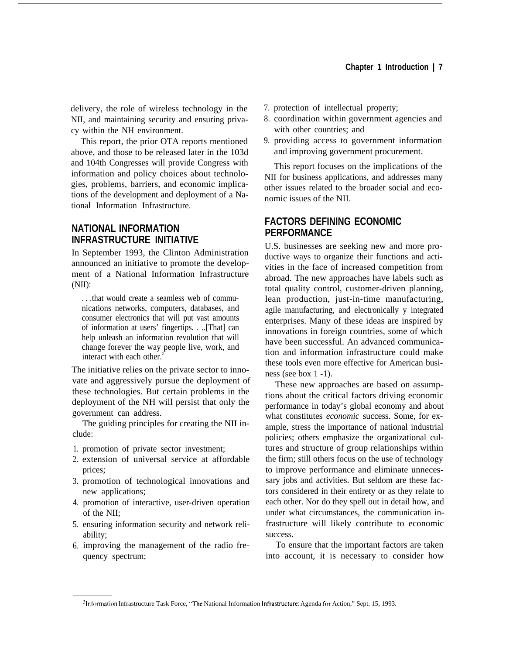delivery, the role of wireless technology in the NII, and maintaining security and ensuring privacy within the NH environment.

This report, the prior OTA reports mentioned above, and those to be released later in the 103d and 104th Congresses will provide Congress with information and policy choices about technologies, problems, barriers, and economic implications of the development and deployment of a National Information Infrastructure.

# **NATIONAL INFORMATION INFRASTRUCTURE INITIATIVE**

In September 1993, the Clinton Administration announced an initiative to promote the development of a National Information Infrastructure  $(NII)$ :

. . .that would create a seamless web of communications networks, computers, databases, and consumer electronics that will put vast amounts of information at users' fingertips. . ..[That] can help unleash an information revolution that will change forever the way people live, work, and interact with each other.<sup>2</sup>

The initiative relies on the private sector to innovate and aggressively pursue the deployment of these technologies. But certain problems in the deployment of the NH will persist that only the government can address.

The guiding principles for creating the NII include:

- 1. promotion of private sector investment;
- 2. extension of universal service at affordable prices;
- 3. promotion of technological innovations and new applications;
- 4. promotion of interactive, user-driven operation of the NII;
- 5. ensuring information security and network reliability;
- 6. improving the management of the radio frequency spectrum;
- 7. protection of intellectual property;
- 8. coordination within government agencies and with other countries; and
- 9. providing access to government information and improving government procurement.

This report focuses on the implications of the NII for business applications, and addresses many other issues related to the broader social and economic issues of the NII.

# **FACTORS DEFINING ECONOMIC PERFORMANCE**

U.S. businesses are seeking new and more productive ways to organize their functions and activities in the face of increased competition from abroad. The new approaches have labels such as total quality control, customer-driven planning, lean production, just-in-time manufacturing, agile manufacturing, and electronically y integrated enterprises. Many of these ideas are inspired by innovations in foreign countries, some of which have been successful. An advanced communication and information infrastructure could make these tools even more effective for American business (see box 1 -1).

These new approaches are based on assumptions about the critical factors driving economic performance in today's global economy and about what constitutes *economic* success. Some, for example, stress the importance of national industrial policies; others emphasize the organizational cultures and structure of group relationships within the firm; still others focus on the use of technology to improve performance and eliminate unnecessary jobs and activities. But seldom are these factors considered in their entirety or as they relate to each other. Nor do they spell out in detail how, and under what circumstances, the communication infrastructure will likely contribute to economic success.

To ensure that the important factors are taken into account, it is necessary to consider how

<sup>&</sup>lt;sup>2</sup>Information Infrastructure Task Force, "The National Information Infrastructure: Agenda for Action," Sept. 15, 1993.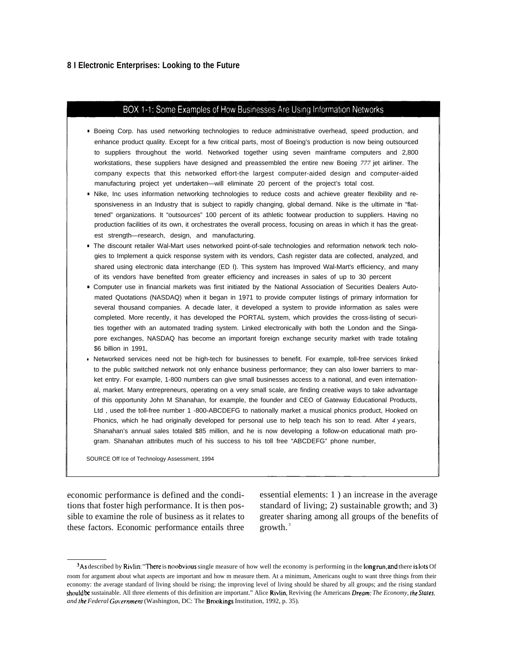#### BOX 1-1: Some Examples of How Businesses Are Using Information Networks

- Boeing Corp. has used networking technologies to reduce administrative overhead, speed production, and enhance product quality. Except for a few critical parts, most of Boeing's production is now being outsourced to suppliers throughout the world. Networked together using seven mainframe computers and 2,800 workstations, these suppliers have designed and preassembled the entire new Boeing *777* jet airliner. The company expects that this networked effort-the largest computer-aided design and computer-aided manufacturing project yet undertaken—will eliminate 20 percent of the project's total cost.
- Nike, Inc uses information networking technologies to reduce costs and achieve greater flexibility and responsiveness in an Industry that is subject to rapidly changing, global demand. Nike is the ultimate in "flattened" organizations. It "outsources" 100 percent of its athletic footwear production to suppliers. Having no production facilities of its own, it orchestrates the overall process, focusing on areas in which it has the greatest strength—research, design, and manufacturing.
- The discount retailer Wal-Mart uses networked point-of-sale technologies and reformation network tech nologies to Implement a quick response system with its vendors, Cash register data are collected, analyzed, and shared using electronic data interchange (ED I). This system has Improved Wal-Mart's efficiency, and many of its vendors have benefited from greater efficiency and increases in sales of up to 30 percent
- Computer use in financial markets was first initiated by the National Association of Securities Dealers Automated Quotations (NASDAQ) when it began in 1971 to provide computer Iistings of primary information for several thousand companies. A decade later, it developed a system to provide information as sales were completed. More recently, it has developed the PORTAL system, which provides the cross-listing of securities together with an automated trading system. Linked electronically with both the London and the Singapore exchanges, NASDAQ has become an important foreign exchange security market with trade totaling \$6 billion in 1991,
- Networked services need not be high-tech for businesses to benefit. For example, toll-free services Iinked to the public switched network not only enhance business performance; they can also lower barriers to market entry. For example, 1-800 numbers can give small businesses access to a national, and even international, market. Many entrepreneurs, operating on a very small scale, are finding creative ways to take advantage of this opportunity John M Shanahan, for example, the founder and CEO of Gateway Educational Products, Ltd , used the toll-free number 1 -800-ABCDEFG to nationally market a musical phonics product, Hooked on Phonics, which he had originally developed for personal use to help teach his son to read. After *4* years, Shanahan's annual sales totaled \$85 million, and he is now developing a follow-on educational math program. Shanahan attributes much of his success to his toll free "ABCDEFG" phone number,

SOURCE Off Ice of Technology Assessment, 1994

these factors. Economic performance entails three growth.<sup>3</sup>

economic performance is defined and the condi- essential elements: 1 ) an increase in the average tions that foster high performance. It is then pos- standard of living; 2) sustainable growth; and 3) sible to examine the role of business as it relates to greater sharing among all groups of the benefits of

<sup>&</sup>lt;sup>3</sup>As described by Rivlin: "There is no obvious single measure of how well the economy is performing in the long run, and there is lots Of room for argument about what aspects are important and how m measure them. At a minimum, Americans ought to want three things from their economy: the average standard of living should be rising; the improving level of living should be shared by all groups; and the rising standard should be sustainable. All three elements of this definition are important." Alice Rivlin, Reviving (he Americans Dream: *The Economy, fhe Yafes, and /he Federal Goternmenl* (Washington, DC: The Brookings Institution, 1992, p. 35).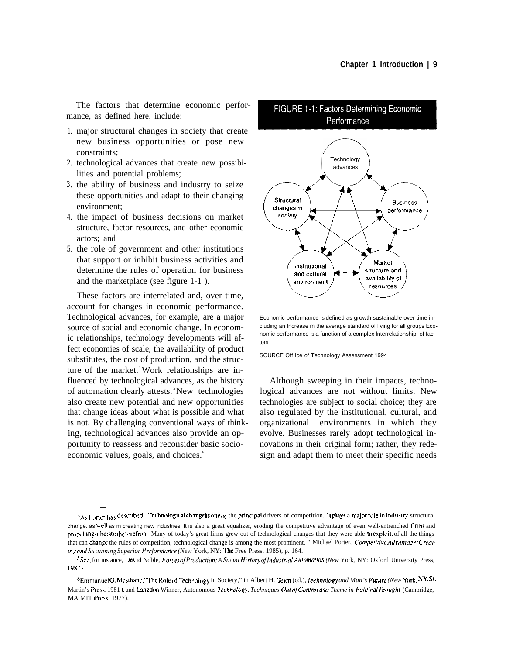The factors that determine economic performance, as defined here, include:

- 1. major structural changes in society that create new business opportunities or pose new constraints;
- 2. technological advances that create new possibilities and potential problems;
- 3. the ability of business and industry to seize these opportunities and adapt to their changing environment;
- 4. the impact of business decisions on market structure, factor resources, and other economic actors; and
- 5. the role of government and other institutions that support or inhibit business activities and determine the rules of operation for business and the marketplace (see figure 1-1 ).

These factors are interrelated and, over time, account for changes in economic performance. Technological advances, for example, are a major source of social and economic change. In economic relationships, technology developments will affect economies of scale, the availability of product substitutes, the cost of production, and the structure of the market.<sup>4</sup> Work relationships are influenced by technological advances, as the history of automation clearly attests.<sup>5</sup> New technologies also create new potential and new opportunities that change ideas about what is possible and what is not. By challenging conventional ways of thinking, technological advances also provide an opportunity to reassess and reconsider basic socioeconomic values, goals, and choices.<sup>6</sup>

—



Economic performance is defined as growth sustainable over time including an Increase m the average standard of living for all groups Economic performance is a function of a complex Interrelationship of factors

SOURCE Off Ice of Technology Assessment 1994

Although sweeping in their impacts, technological advances are not without limits. New technologies are subject to social choice; they are also regulated by the institutional, cultural, and organizational environments in which they evolve. Businesses rarely adopt technological innovations in their original form; rather, they redesign and adapt them to meet their specific needs

<sup>4</sup>As Porter has described: "Technological change is one of the principal drivers of competition. It plays a major role in industry structural change. as well as m creating new industries. It is also a great equalizer, eroding the competitive advantage of even well-entrenched firms and propelling otherstothe forefront. Many of today's great firms grew out of technological changes that they were able to exploit of all the things that can change the rules of competition, technological change is among the most prominent. " Michael Porter, Competitive Advantage: Creat- *Superior (New* York, NY: Free Press, 1985), p. 164.

<sup>&</sup>lt;sup>5</sup>See, for instance, David Noble, *Forces of Production: A Social History of Industrial Automation (New York, NY: Oxford University Press,* 1984).

<sup>&</sup>lt;sup>6</sup>Emmanuel G. Mesthane, "The Role of Technology in Society," in Albert H. Teich (cd.), *Technology and Man's Future (New York, NY:St.* Martin's Press, 1981 ); and Langdon Winner, Autonomous *Technology: Techniques Out of Control as a Theme in Political Thought* (Cambridge, MA MIT Press, 1977).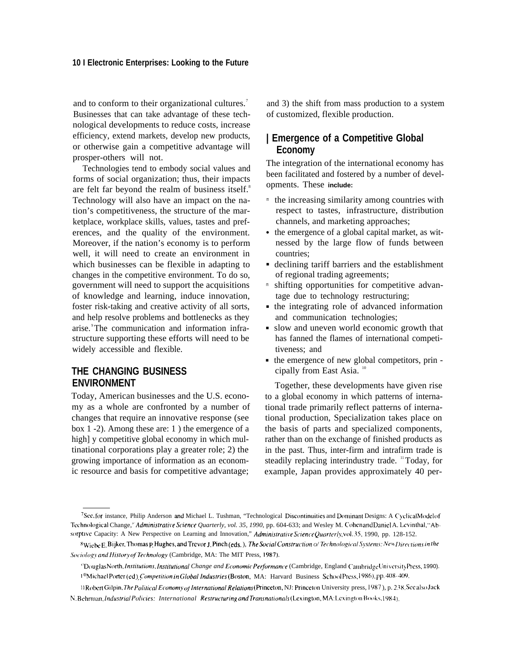and to conform to their organizational cultures.<sup>7</sup> Businesses that can take advantage of these technological developments to reduce costs, increase efficiency, extend markets, develop new products, or otherwise gain a competitive advantage will prosper-others will not.

Technologies tend to embody social values and forms of social organization; thus, their impacts are felt far beyond the realm of business itself.<sup>8</sup> Technology will also have an impact on the nation's competitiveness, the structure of the marketplace, workplace skills, values, tastes and preferences, and the quality of the environment. Moreover, if the nation's economy is to perform well, it will need to create an environment in which businesses can be flexible in adapting to changes in the competitive environment. To do so, government will need to support the acquisitions of knowledge and learning, induce innovation, foster risk-taking and creative activity of all sorts, and help resolve problems and bottlenecks as they arise. The communication and information infrastructure supporting these efforts will need to be widely accessible and flexible.

## **THE CHANGING BUSINESS ENVIRONMENT**

Today, American businesses and the U.S. economy as a whole are confronted by a number of changes that require an innovative response (see box 1 -2). Among these are: 1 ) the emergence of a high] y competitive global economy in which multinational corporations play a greater role; 2) the growing importance of information as an economic resource and basis for competitive advantage;

and 3) the shift from mass production to a system of customized, flexible production.

## **| Emergence of a Competitive Global Economy**

The integration of the international economy has been facilitated and fostered by a number of developments. These **include:**

- m the increasing similarity among countries with respect to tastes, infrastructure, distribution channels, and marketing approaches;
- $\bullet$ the emergence of a global capital market, as witnessed by the large flow of funds between countries;
- declining tariff barriers and the establishment of regional trading agreements;
- m shifting opportunities for competitive advantage due to technology restructuring;
- the integrating role of advanced information and communication technologies;
- slow and uneven world economic growth that has fanned the flames of international competitiveness; and
- the emergence of new global competitors, prin cipally from East Asia.<sup>10</sup>

Together, these developments have given rise to a global economy in which patterns of international trade primarily reflect patterns of international production, Specialization takes place on the basis of parts and specialized components, rather than on the exchange of finished products as in the past. Thus, inter-firm and intrafirm trade is steadily replacing interindustry trade. <sup>11</sup>Today, for example, Japan provides approximately 40 per-

<sup>7</sup>See, for instance, Philip Anderson and Michael L. Tushman, "Technological Discontinuities and Dominant Designs: A Cyclical Modelof Technological Change,' Administrative Science Quarterly, vol. 35, 1990, pp. 604-633; and Wesley M. Cohen and Daniel A. Levinthal,"Absorptive Capacity: A New Perspective on Learning and Innovation," *Administrative Science Quarterly*, vol. 35, 1990, pp. 128-152.

 $^8$ Wiebe E. Bijker, Thomas P. Hughes, and Trevor J. Pinch (eds.), The Social Construction o/ Technological Systems: New Directions in the *.\{J~ifj/ot~? and }Iistory oj"7echnologv* (Cambridge, MA: The MIT Press, 1987),

<sup>&</sup>lt;sup>o</sup> Douglas North, *Institutions, Institutional Change and Economic Performance* (Cambridge, England Cambridge University Press, 1990). <sup>10</sup>Michael Porter (ed) Competition in Global Industries (Boston, MA: Harvard Business School Press, 1986). pp. 408-409.

<sup>11</sup> Robert Gilpin, The Political Economy of International Relations (Princeton, NJ: Princeton University press, 1987), p. 238. See also Jack N. Behrman, *Industrial Policies: International Restructuring and Transnationals* (Lexington, MA:Lexington Books, 1984),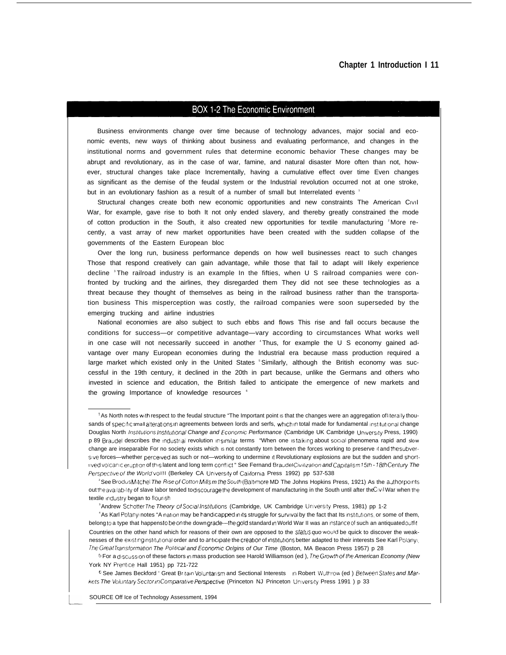#### **Chapter 1 Introduction I 11**

#### **BOX 1-2 The Economic Environment**

Business environments change over time because of technology advances, major social and economic events, new ways of thinking about business and evaluating performance, and changes in the institutional norms and government rules that determine economic behavior These changes may be abrupt and revolutionary, as in the case of war, famine, and natural disaster More often than not, however, structural changes take place Incrementally, having a cumulative effect over time Even changes as significant as the demise of the feudal system or the Industrial revolution occurred not at one stroke, but in an evolutionary fashion as a result of a number of small but Interrelated events 1

Structural changes create both new economic opportunities and new constraints The American CIVII War, for example, gave rise to both It not only ended slavery, and thereby greatly constrained the mode of cotton production in the South, it also created new opportunities for textile manufacturing 2More recently, a vast array of new market opportunities have been created with the sudden collapse of the governments of the Eastern European bloc

Over the long run, business performance depends on how well businesses react to such changes Those that respond creatively can gain advantage, while those that fail to adapt wiII Iikely experience decline <sup>3</sup> The railroad industry is an example In the fifties, when U S railroad companies were confronted by trucking and the airlines, they disregarded them They did not see these technologies as a threat because they thought of themselves as being in the railroad business rather than the transportation business This misperception was costly, the railroad companies were soon superseded by the emerging trucking and airline industries

National economies are also subject to such ebbs and flows This rise and fall occurs because the conditions for success—or competitive advantage—vary according to circumstances What works well in one case will not necessarily succeed in another 'Thus, for example the U S economy gained advantage over many European economies during the Industrial era because mass production required a large market which existed only in the United States Similarly, although the British economy was successful in the 19th century, it declined in the 20th in part because, unlike the Germans and others who invested in science and education, the British failed to anticipate the emergence of new markets and the growing Importance of knowledge resources <sup>6</sup>

L

<sup>&</sup>lt;sup>1</sup> As North notes with respect to the feudal structure "The Important point is that the changes were an aggregation of literally thousands of specific small alterations in agreements between lords and serfs, which in total made for fundamental institutional change Douglas North Institutions Institutional Change and Economic Performance (Cambridge UK Cambridge University Press, 1990) p 89 Braudel describes the industrial revolution in similar terms "When one is talking about social phenomena rapid and slow change are inseparable For no society exists which is not constantly torn between the forces working to preserve it and the subversive forces—whether perceived as such or not—working to undermine it Revolutionary explosions are but the sudden and shortilved volcanic eruption of this latent and long term conflict " See Fernand Braudel Civilization and Capitalism 15th - 18th Century The Perspective of the World volili (Berkeley CA University of California Press 1992) pp 537-538

<sup>&</sup>lt;sup>2</sup>See Brodus Mitchel The Rise of Cotton Mills m the South (Baltimore MD The Johns Hopkins Press, 1921) As the author points out the availability of slave labor tended to discourage the development of manufacturing in the South until after the Civil War when the textile industry began to flourish

<sup>&</sup>lt;sup>3</sup> Andrew Schotter The Theory of Social Institutions (Cambridge, UK Cambridge University Press, 1981) pp 1-2

<sup>&</sup>lt;sup>4</sup>As Karl Polanyi notes "A nation may be handicapped in its struggle for survival by the fact that Its institutions, or some of them, belong to a type that happens to be on the down grade--the gold standard in World War II was an instance of such an antiquated outfit Countries on the other hand which for reasons of their own are opposed to the slatus quo would be quick to discover the weaknesses of the existing institutional order and to anticipate the creation of institutions better adapted to their interests See Karl Polanyi, The Great Transformation The Political and Economic Or/gins of Our Time (Boston, MA Beacon Press 1957) p 28

<sup>&</sup>lt;sup>5</sup> For a discussion of these factors in mass production see Harold Williamson (ed ), The Growth of the American Economy (New York NY Prentice Hall 1951) pp 721-722

 $6$  See James Beckford ' Great Britain Voluntarism and Sectional Interests in Robert Wuthrow (ed.) Between States and Markets The Voluntary Sector in Comparative Perspective (Princeton NJ Princeton University Press 1991 ) p 33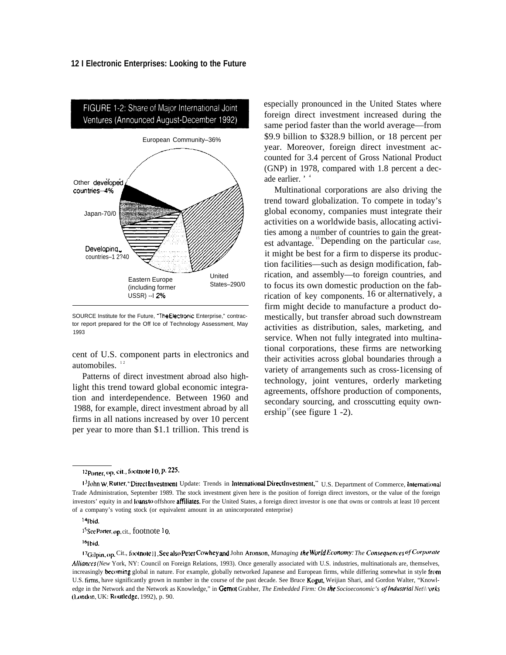

SOURCE Institute for the Future, "The Electronic Enterprise," contractor report prepared for the Off Ice of Technology Assessment, May 1993

cent of U.S. component parts in electronics and automobiles.<sup>12</sup>

Patterns of direct investment abroad also highlight this trend toward global economic integration and interdependence. Between 1960 and 1988, for example, direct investment abroad by all firms in all nations increased by over 10 percent per year to more than \$1.1 trillion. This trend is especially pronounced in the United States where foreign direct investment increased during the same period faster than the world average—from \$9.9 billion to \$328.9 billion, or 18 percent per year. Moreover, foreign direct investment accounted for 3.4 percent of Gross National Product (GNP) in 1978, compared with 1.8 percent a decade earlier. '

Multinational corporations are also driving the trend toward globalization. To compete in today's global economy, companies must integrate their activities on a worldwide basis, allocating activities among a number of countries to gain the greatest advantage. <sup>15</sup> Depending on the particular case, it might be best for a firm to disperse its production facilities—such as design modification, fabrication, and assembly—to foreign countries, and to focus its own domestic production on the fabrication of key components. 16 or alternatively, a firm might decide to manufacture a product domestically, but transfer abroad such downstream activities as distribution, sales, marketing, and service. When not fully integrated into multinational corporations, these firms are networking their activities across global boundaries through a variety of arrangements such as cross-1icensing of technology, joint ventures, orderly marketing agreements, offshore production of components, secondary sourcing, and crosscutting equity ownership<sup>17</sup> (see figure 1 -2).

 $15$ See Porter, op. cit., footnote  $10$ .

<sup>16</sup>[bid.

<sup>12</sup> Porter, op. cit., footnote 1 0, p. 225.

<sup>13</sup> John W. Rutter, "Direct Investment Update: Trends in International Direct Investment," U.S. Department of Commerce, International Trade Administration, September 1989. The stock investment given here is the position of foreign direct investors, or the value of the foreign investors' equity in and loans to offshore affiliates. For the United States, a foreign direct investor is one that owns or controls at least 10 percent of a company's voting stock (or equivalent amount in an unincorporated enterprise)

 $4$ Ibid.

<sup>17</sup> Gilpin, op. Cit., footnote 11. See also Peter Cowhey and John Aronson, Managing the World Economy: The Consequences of Corporate  *(New* York, NY: Council on Foreign Relations, 1993). Once generally associated with U.S. industries, multinationals are, themselves, increasingly becoming global in nature. For example, globally networked Japanese and European firms, while differing somewhat in style from U.S. firms, have significantly grown in number in the course of the past decade. See Bruce Kogut, Weijian Shari, and Gordon Walter, "Knowledge in the Network and the Network as Knowledge," in Gernot Grabher, *The Embedded Firm: On the Socioeconomic's of Industrial Net*\ \  $or$ ks (London, UK: Routledge, 1992), p. 90.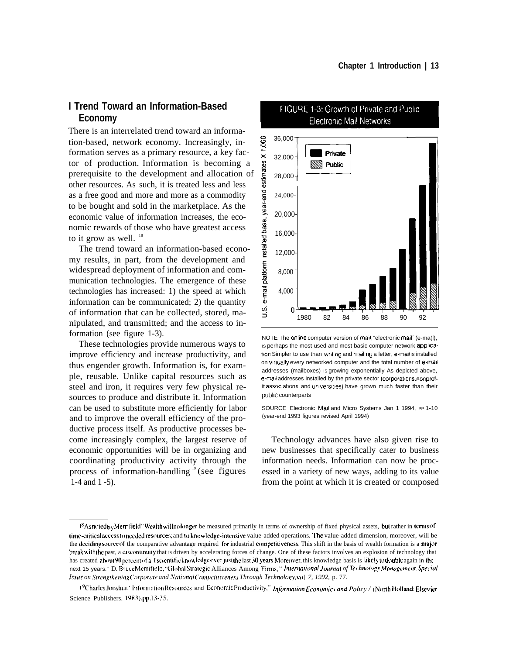## **I Trend Toward an Information-Based Economy**

There is an interrelated trend toward an information-based, network economy. Increasingly, information serves as a primary resource, a key factor of production. Information is becoming a prerequisite to the development and allocation of other resources. As such, it is treated less and less as a free good and more and more as a commodity to be bought and sold in the marketplace. As the economic value of information increases, the economic rewards of those who have greatest access to it grow as well.  $18$ 

The trend toward an information-based economy results, in part, from the development and widespread deployment of information and communication technologies. The emergence of these technologies has increased: 1) the speed at which information can be communicated; 2) the quantity of information that can be collected, stored, manipulated, and transmitted; and the access to information (see figure 1-3).

These technologies provide numerous ways to improve efficiency and increase productivity, and thus engender growth. Information is, for example, reusable. Unlike capital resources such as steel and iron, it requires very few physical resources to produce and distribute it. Information can be used to substitute more efficiently for labor and to improve the overall efficiency of the productive process itself. As productive processes become increasingly complex, the largest reserve of economic opportunities will be in organizing and coordinating productivity activity through the process of information-handling 19 (see figures 1-4 and 1 -5).



#### FIGURE 1-3: Growth of Private and Public **Electronic Mail Networks**

NOTE The online computer version of mail, "electronic mail" (e-ma(l), Is perhaps the most used and most basic computer network application Simpler to use than writing and mailing a letter, e-mail is installed on virtually every networked computer and the total number of e-mail addresses (mailboxes) is growing exponentially As depicted above, e-mail addresses installed by the private sector (corporations nonprofit associations, and universities) have grown much faster than their public counterparts

SOURCE Electronic Mail and Micro Systems Jan 1 1994, PP 1-10 (year-end 1993 figures revised April 1994)

Technology advances have also given rise to new businesses that specifically cater to business information needs. Information can now be processed in a variety of new ways, adding to its value from the point at which it is created or composed

<sup>&</sup>lt;sup>18</sup> Asnoted by Merrifield "Wealthwill nolonger be measured primarily in terms of ownership of fixed physical assets, but rather in terms of time-critical access to needed resources; and to knowledge-intensive value-added operations. The value-added dimension, moreover, will be the deciding source of the comparative advantage required for industrial competitiveness. This shift in the basis of wealth formation is a major break with the past, a discontinuity that is driven by accelerating forces of change. One of these factors involves an explosion of technology that has created about 90 percent of al I scientific knowledge over just the last 30 years. Moreover, this knowledge basis is likely to double again in the next 15 years." D. BruccMerrifield, "GlobalStrategic Alliances Among Firms," International Journal of Technology Management, Special *Issue on Strengthening Corporate and National Competitiveness Through Technology, vol. 7, 1992, p. 77.* 

<sup>19</sup> Charles Jonshur, "Information Resources and Economic Productivity," Information Economics and Policy / (North Holland: Elsevier Science Publishers. 1983), pp.13-35.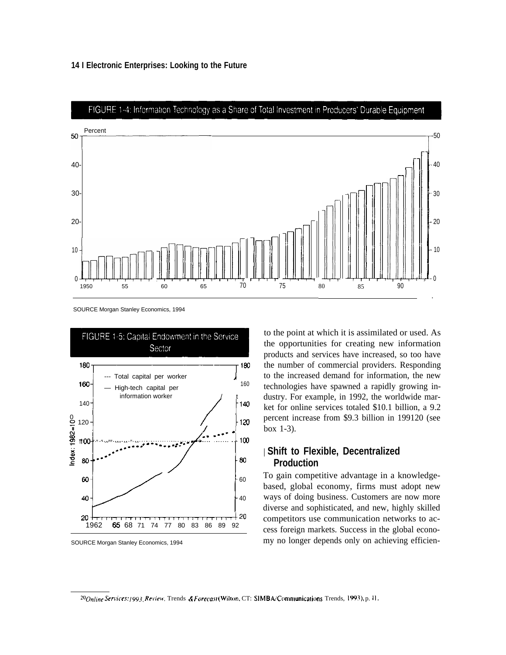

SOURCE Morgan Stanley Economics, 1994



SOURCE Morgan Stanley Economics, 1994

to the point at which it is assimilated or used. As the opportunities for creating new information products and services have increased, so too have the number of commercial providers. Responding to the increased demand for information, the new technologies have spawned a rapidly growing industry. For example, in 1992, the worldwide market for online services totaled \$10.1 billion, a 9.2 percent increase from \$9.3 billion in 199120 (see box 1-3).

## | **Shift to Flexible, Decentralized Production**

To gain competitive advantage in a knowledgebased, global economy, firms must adopt new ways of doing business. Customers are now more diverse and sophisticated, and new, highly skilled competitors use communication networks to access foreign markets. Success in the global economy no longer depends only on achieving efficien-

20 Online Services: [993, Review, Trends & Forecast (Wilton, CT: SIMBA/Communications Trends, 1993), p. 11.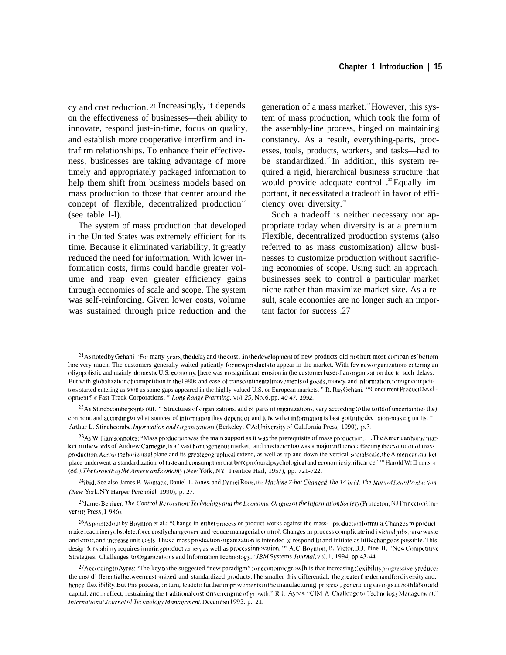cy and cost reduction. 21 Increasingly, it depends on the effectiveness of businesses—their ability to innovate, respond just-in-time, focus on quality, and establish more cooperative interfirm and intrafirm relationships. To enhance their effectiveness, businesses are taking advantage of more timely and appropriately packaged information to help them shift from business models based on mass production to those that center around the concept of flexible, decentralized production<sup>22</sup> (see table l-l).

The system of mass production that developed in the United States was extremely efficient for its time. Because it eliminated variability, it greatly reduced the need for information. With lower information costs, firms could handle greater volume and reap even greater efficiency gains through economies of scale and scope, The system was self-reinforcing. Given lower costs, volume was sustained through price reduction and the generation of a mass market.<sup>23</sup> However, this system of mass production, which took the form of the assembly-line process, hinged on maintaining constancy. As a result, everything-parts, processes, tools, products, workers, and tasks—had to be standardized.<sup>24</sup> In addition, this system required a rigid, hierarchical business structure that would provide adequate control  $\cdot$ <sup>25</sup> Equally important, it necessitated a tradeoff in favor of efficiency over diversity.<sup>26</sup>

Such a tradeoff is neither necessary nor appropriate today when diversity is at a premium. Flexible, decentralized production systems (also referred to as mass customization) allow businesses to customize production without sacrificing economies of scope. Using such an approach, businesses seek to control a particular market niche rather than maximize market size. As a result, scale economies are no longer such an important factor for success .27

<sup>24</sup>lbid. See also James P. Womack, Daniel T. Jones, and Daniel Roos, *The Machine 7-hat Changed The 14 'orld: The Story of Lean Production (New York,NY Harper Perennial, 1990), p. 27.* 

<sup>25</sup> James Beniger, *The Control Revolution: Technology and the Economic Origins of the Information Society (Princeton, NJ PrincetonUni*versity Press, I 986).

<sup>26</sup>As pointed out by Boynton et al.: "Change in either process or product works against the mass--production formula. Changes m product make reach incryobsolete, force costly changeover and reduce managerial control. Changes in process complicate ind i vidual jobs, raise waste and error, and increase unit costs. Thus a mass production organization is intended to respond to and initiate as little change as possible. This design for stability requires limiting product variety as well as process innovation. "" A.C. Boynton, B. Victor, B.J. Pine II, "New Competitive Strategies. Challenges to Organizations and Information Technology," IBM Systems *Journal*, vol. 1, 1994, pp.43-44.

 $2<sup>1</sup>$ As noted by Gehani: "For many years, the delay and the cost .. in the development of new products did not hurt most companies' bottom line very much. The customers generally waited patiently for new products to appear in the market. With few new organizations entering an oligopolistic and mainly domestic U.S. economy, [here was no significant erosion in (he customer base of an organization due to such delays. But with globalization of competition in the l 980s and ease of transcontinental movements of goods, money, and information, foreign competitors started entering as soom as some gaps appeared in the highly valued U.S. or European markets. "R. Ray Gehani, "Concurrent Product Development for Fast Track Corporations, " *Long Range P/arming*, vol. 25, No. 6, pp. 40-47, 1992.

 $^{22}$ As Stinchcombe points out: "'Structures of organizations, and of parts of organizations, vary according to the sorts of uncertainties the) confront, and according to what sources of information they depend on and to how that information is best gotto the dec I sion-making un Its. " Arthur L. Stinchcombe, *Information and Organizations* (Berkeley, CA: University of California Press, 1990), p.3.

 $^{23}$ As Williamson notes: "Mass production was the main support as it was the prerequisite of mass production... . The American home market, in the words of Andrew Carnegie, is a 'vast homogeneous market, and this factor too was a major influence affecting the evolution of mass production. Across the horizontal plane and its great geographical extend, as well as up and down the vertical socialscale, the A merican market place underwent a standardization of taste and consumption that bore profound psychological and economic significance. '" Harold WI II iamson (cd.), 7'he *Growth oj [he Arnerifan Ecwromy (New* York, NY: Prentice Hail, 1957), pp. 721-722.

 $^{27}$ According to Ayres: "The key to the suggested "new paradigm" for economic grow [h is that increasing flexibility progressively reduces the cost d] fferential between customized and standardized products. The smaller this differential, the greater the demand for diversity and, hence, flex ibility. But this process, in turn, leads to further improvements in the manufacturing process, generating savings in both labor and capital, and in effect, restraining the traditional cost-driven engine of growth." R.U. Ayres, "CIM A Challenge to Technology Management," *International Journal <sup>of</sup> Technology Management, December 1992, p. 21.*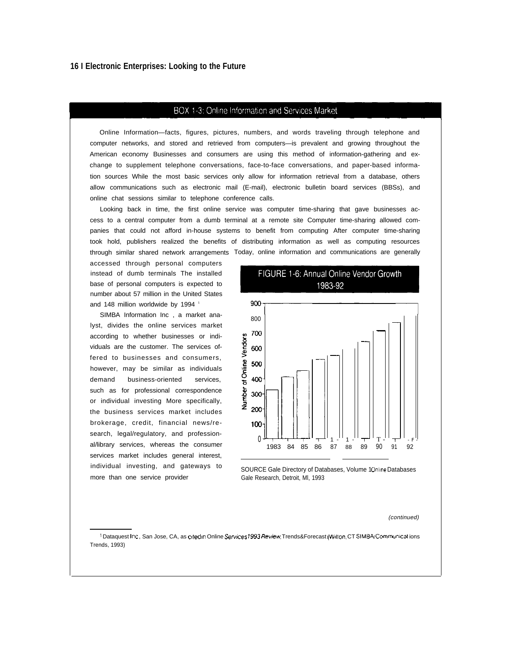#### BOX 1-3: Online Information and Services Market

Online Information—facts, figures, pictures, numbers, and words traveling through telephone and computer networks, and stored and retrieved from computers—is prevalent and growing throughout the American economy Businesses and consumers are using this method of information-gathering and exchange to supplement telephone conversations, face-to-face conversations, and paper-based information sources While the most basic services only allow for information retrieval from a database, others allow communications such as electronic mail (E-mail), electronic bulletin board services (BBSs), and online chat sessions similar to telephone conference calls.

Looking back in time, the first online service was computer time-sharing that gave businesses access to a central computer from a dumb terminal at a remote site Computer time-sharing allowed companies that could not afford in-house systems to benefit from computing After computer time-sharing took hold, publishers realized the benefits of distributing information as well as computing resources through similar shared network arrangements Today, online information and communications are generally

accessed through personal computers instead of dumb terminals The installed base of personal computers is expected to number about 57 million in the United States and 148 million worldwide by 1994<sup>1</sup>

SIMBA Information Inc , a market analyst, divides the online services market according to whether businesses or individuals are the customer. The services offered to businesses and consumers, however, may be similar as individuals demand business-oriented services, such as for professional correspondence or individual investing More specifically, the business services market includes brokerage, credit, financial news/research, legal/regulatory, and professional/library services, whereas the consumer services market includes general interest, individual investing, and gateways to more than one service provider





SOURCE Gale Directory of Databases, Volume 10nline Databases Gale Research, Detroit, Ml, 1993

#### (continued)

<sup>1</sup> Dataquest Inc, San Jose, CA, as cited in Online Services 1993 Review Trends&Forecast (Wilton, CT SIMBA/Communications Trends, 1993)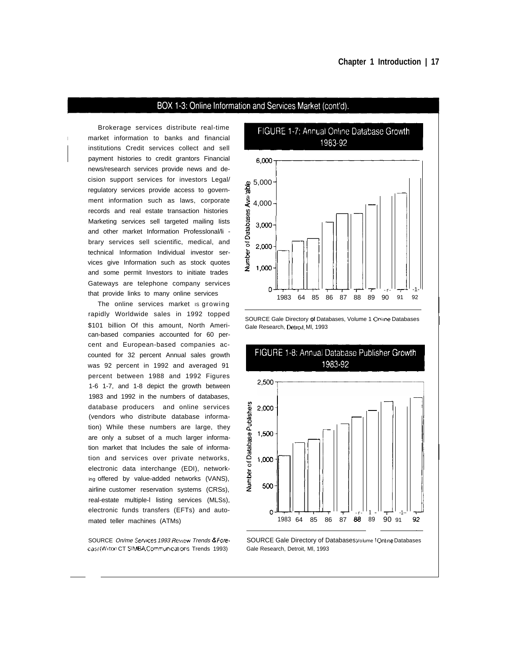## BOX 1-3: Online Information and Services Market (cont'd).

Brokerage services distribute real-time market information to banks and financial institutions Credit services collect and sell payment histories to credit grantors Financial news/research services provide news and decision support services for investors Legal/ regulatory services provide access to government information such as laws, corporate records and real estate transaction histories Marketing services sell targeted mailing Iists and other market Information Professlonal/li brary services sell scientific, medical, and technical Information Individual investor services give Information such as stock quotes and some permit Investors to initiate trades Gateways are telephone company services that provide links to many online services

The online services market is growing rapidly Worldwide sales in 1992 topped \$101 billion Of this amount, North American-based companies accounted for 60 percent and European-based companies accounted for 32 percent Annual sales growth was 92 percent in 1992 and averaged 91 percent between 1988 and 1992 Figures 1-6 1-7, and 1-8 depict the growth between 1983 and 1992 in the numbers of databases, database producers and online services (vendors who distribute database information) While these numbers are large, they are only a subset of a much larger information market that Includes the sale of information and services over private networks, electronic data interchange (EDI), networking offered by value-added networks (VANS), airline customer reservation systems (CRSs), real-estate multiple-l listing services (MLSs), electronic funds transfers (EFTs) and automated teller machines (ATMs)

SOURCE On/me Services 1993 Review Trends & Forecas/(Wilton CT SIMBA/Communications Trends 1993).

FIGURE 1-7: Annual Online Database Growth 1983-92



SOURCE Gale Directory of Databases, Volume 1 Online Databases Gale Research, Detroit, MI, 1993



SOURCE Gale Directory of Databases, Volume 10nline Databases Gale Research, Detroit, Ml, 1993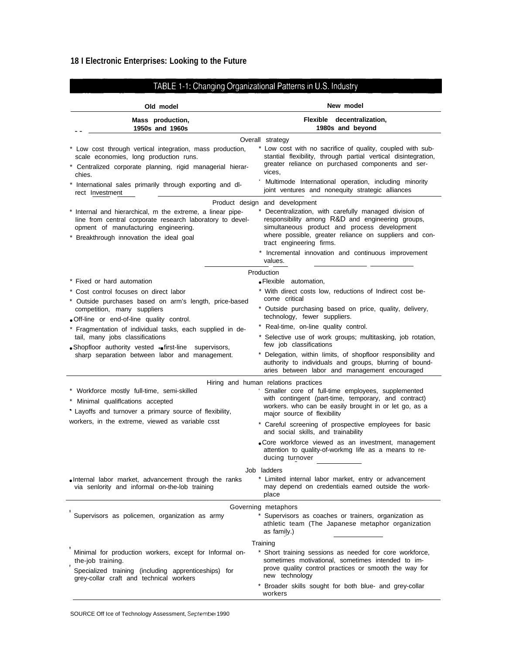| Old model                                                                                                                                                                                                                                                                                                                                       | New model                                                                                                                                                                                                                                                                                                                                          |
|-------------------------------------------------------------------------------------------------------------------------------------------------------------------------------------------------------------------------------------------------------------------------------------------------------------------------------------------------|----------------------------------------------------------------------------------------------------------------------------------------------------------------------------------------------------------------------------------------------------------------------------------------------------------------------------------------------------|
| Mass production,<br>1950s and 1960s                                                                                                                                                                                                                                                                                                             | Flexible decentralization,<br>1980s and beyond                                                                                                                                                                                                                                                                                                     |
| * Low cost through vertical integration, mass production,<br>scale economies, long production runs.<br>* Centralized corporate planning, rigid managerial hierar-<br>chies.<br>International sales primarily through exporting and dl-<br>rect Investment                                                                                       | Overall strategy<br>* Low cost with no sacrifice of quality, coupled with sub-<br>stantial flexibility, through partial vertical disintegration,<br>greater reliance on purchased components and ser-<br>vices,<br>Multimode International operation, including minority<br>joint ventures and nonequity strategic alliances                       |
| * Internal and hierarchical, m the extreme, a linear pipe-<br>line from central corporate research laboratory to devel-<br>opment of manufacturing engineering.<br>* Breakthrough innovation the ideal goal                                                                                                                                     | Product design and development<br>Decentralization, with carefully managed division of<br>responsibility among R&D and engineering groups,<br>simultaneous product and process development<br>where possible, greater reliance on suppliers and con-<br>tract engineering firms.<br>* Incremental innovation and continuous improvement<br>values. |
| * Fixed or hard automation<br>Cost control focuses on direct labor                                                                                                                                                                                                                                                                              | Production<br>• Flexible automation,<br>* With direct costs low, reductions of Indirect cost be-                                                                                                                                                                                                                                                   |
| * Outside purchases based on arm's length, price-based<br>competition, many suppliers<br>. Off-line or end-of-line quality control.<br>* Fragmentation of individual tasks, each supplied in de-<br>tail, many jobs classifications<br>• Shopfloor authority vested • first-line supervisors,<br>sharp separation between labor and management. | come critical<br>* Outside purchasing based on price, quality, delivery,<br>technology, fewer suppliers.                                                                                                                                                                                                                                           |
|                                                                                                                                                                                                                                                                                                                                                 | * Real-time, on-line quality control.<br>* Selective use of work groups; multitasking, job rotation,<br>few job classifications<br>* Delegation, within limits, of shopfloor responsibility and<br>authority to individuals and groups, blurring of bound-<br>aries between labor and management encouraged                                        |
| * Workforce mostly full-time, semi-skilled<br>Minimal qualifications accepted<br>* Layoffs and turnover a primary source of flexibility,<br>workers, in the extreme, viewed as variable csst                                                                                                                                                    | Hiring and human relations practices<br>Smaller core of full-time employees, supplemented<br>with contingent (part-time, temporary, and contract)<br>workers. who can be easily brought in or let go, as a<br>major source of flexibility                                                                                                          |
|                                                                                                                                                                                                                                                                                                                                                 | * Careful screening of prospective employees for basic<br>and social skills, and trainability<br>. Core workforce viewed as an investment, management<br>attention to quality-of-workmg life as a means to re-<br>ducing turnover                                                                                                                  |
| . Internal labor market, advancement through the ranks<br>via senlority and informal on-the-lob training                                                                                                                                                                                                                                        | Job ladders<br>* Limited internal labor market, entry or advancement<br>may depend on credentials earned outside the work-<br>place                                                                                                                                                                                                                |
| Supervisors as policemen, organization as army                                                                                                                                                                                                                                                                                                  | Governing metaphors<br>Supervisors as coaches or trainers, organization as<br>athletic team (The Japanese metaphor organization<br>as family.)                                                                                                                                                                                                     |
| Minimal for production workers, except for Informal on-<br>the-job training.<br>Specialized training (including apprenticeships) for<br>grey-collar craft and technical workers                                                                                                                                                                 | Training<br>* Short training sessions as needed for core workforce,<br>sometimes motivational, sometimes intended to im-<br>prove quality control practices or smooth the way for<br>new technology                                                                                                                                                |
|                                                                                                                                                                                                                                                                                                                                                 | * Broader skills sought for both blue- and grey-collar<br>workers                                                                                                                                                                                                                                                                                  |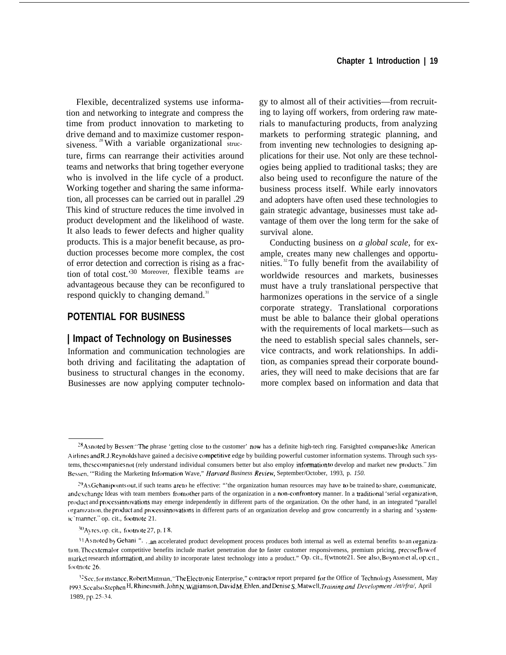Flexible, decentralized systems use information and networking to integrate and compress the time from product innovation to marketing to drive demand and to maximize customer responsiveness.<sup>28</sup> With a variable organizational structure, firms can rearrange their activities around teams and networks that bring together everyone who is involved in the life cycle of a product. Working together and sharing the same information, all processes can be carried out in parallel .29 This kind of structure reduces the time involved in product development and the likelihood of waste. It also leads to fewer defects and higher quality products. This is a major benefit because, as production processes become more complex, the cost of error detection and correction is rising as a fraction of total cost.'30 Moreover, flexible teams are advantageous because they can be reconfigured to respond quickly to changing demand.<sup>31</sup>

# **POTENTIAL FOR BUSINESS**

#### **| Impact of Technology on Businesses**

Information and communication technologies are both driving and facilitating the adaptation of business to structural changes in the economy. Businesses are now applying computer technology to almost all of their activities—from recruiting to laying off workers, from ordering raw materials to manufacturing products, from analyzing markets to performing strategic planning, and from inventing new technologies to designing applications for their use. Not only are these technologies being applied to traditional tasks; they are also being used to reconfigure the nature of the business process itself. While early innovators and adopters have often used these technologies to gain strategic advantage, businesses must take advantage of them over the long term for the sake of survival alone.

Conducting business on *a global scale,* for example, creates many new challenges and opportunities. <sup>32</sup>To fully benefit from the availability of worldwide resources and markets, businesses must have a truly translational perspective that harmonizes operations in the service of a single corporate strategy. Translational corporations must be able to balance their global operations with the requirements of local markets—such as the need to establish special sales channels, service contracts, and work relationships. In addition, as companies spread their corporate boundaries, they will need to make decisions that are far more complex based on information and data that

 $^{28}$ As noted by Bessen: "The phrase 'getting close to the customer' now has a definite high-tech ring. Farsighted companies like American Airlines and R.J. Reynolds have gained a decisive competitive edge by building powerful customer information systems. Through such systems, these companies not (rely understand individual consumers better but also employ information to develop and market new products." Jim Bessen, "Riding the Marketing Information Wave," *Harvard Business Review*, September/October, 1993, p. 150.

 $^{29}$ As Gehani points out, if such teams are to he effective: ""the organization human resources may have to be trained to share, communicate, and exchange Ideas with team members from other parts of the organization in a non-confrontory manner. In a traditional 'serial organization, product and processinnovations may emerge independently in different parts of the organization. On the other hand, in an integrated "parallel organization, the product and process innovations in different parts of an organization develop and grow concurrently in a sharing and 'systemic'manner." op. cit., footnote 21.

 $^{30}$ Ayres, op. cit., footnote 27, p. I 8.

<sup>31</sup> As noted by Gehani ". . .an accelerated product development process produces both internal as well as external benefits to an organization. The external or competitive benefits include market penetration due to faster customer responsiveness, premium pricing, precise flow of market research information, and ability to incorporate latest technology into a product." Op. cit., f(wtnote21. See also, Boyntonet al, op. cit., footnote 26.

<sup>&</sup>lt;sup>32</sup>See, for instance, Robert Mittman, "The Electronic Enterprise," contractor report prepared for the Office of Technology Assessment, May 1993. See also Stephen H, Rhinesmith, John N, Williamson, David M, Ehlen, and Denise S. Matwell, Training and Development Jet/rfra/, April 1989, pp. 25-34,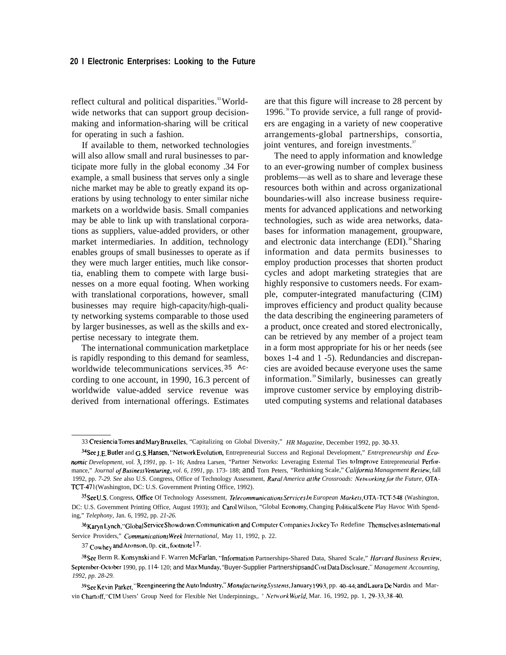reflect cultural and political disparities.<sup>33</sup> Worldwide networks that can support group decisionmaking and information-sharing will be critical for operating in such a fashion.

If available to them, networked technologies will also allow small and rural businesses to participate more fully in the global economy .34 For example, a small business that serves only a single niche market may be able to greatly expand its operations by using technology to enter similar niche markets on a worldwide basis. Small companies may be able to link up with translational corporations as suppliers, value-added providers, or other market intermediaries. In addition, technology enables groups of small businesses to operate as if they were much larger entities, much like consortia, enabling them to compete with large businesses on a more equal footing. When working with translational corporations, however, small businesses may require high-capacity/high-quality networking systems comparable to those used by larger businesses, as well as the skills and expertise necessary to integrate them.

The international communication marketplace is rapidly responding to this demand for seamless, worldwide telecommunications services. 35 According to one account, in 1990, 16.3 percent of worldwide value-added service revenue was derived from international offerings. Estimates

are that this figure will increase to 28 percent by 1996. $^{36}$ To provide service, a full range of providers are engaging in a variety of new cooperative arrangements-global partnerships, consortia, joint ventures, and foreign investments.<sup>37</sup>

The need to apply information and knowledge to an ever-growing number of complex business problems—as well as to share and leverage these resources both within and across organizational boundaries-will also increase business requirements for advanced applications and networking technologies, such as wide area networks, databases for information management, groupware, and electronic data interchange  $(EDI).$ <sup>38</sup>Sharing information and data permits businesses to employ production processes that shorten product cycles and adopt marketing strategies that are highly responsive to customers needs. For example, computer-integrated manufacturing (CIM) improves efficiency and product quality because the data describing the engineering parameters of a product, once created and stored electronically, can be retrieved by any member of a project team in a form most appropriate for his or her needs (see boxes 1-4 and 1 -5). Redundancies and discrepancies are avoided because everyone uses the same information.<sup>39</sup> Similarly, businesses can greatly improve customer service by employing distributed computing systems and relational databases

 $36$ Karyn Lynch, "Global Service Showdown: Communication and Computer Companies Jockey To Redefine Themselves as International Service Providers," *CommunicationsWeek International,* May 11, 1992, p. 22.

37 Cowhey and Aronson, 0p. cit., footnote 17.

<sup>33</sup> Cre5iencia Tomes and Mary Bruxelles, "Capitalizing on Global Diversity," *HR Magazine,* December 1992, pp. 30-33.

<sup>&</sup>lt;sup>34</sup>See J.E. Butler and G.S. Hansen, "Network Evolution, Entrepreneurial Success and Regional Development," *Entrepreneurship and Eco*nomic Development, vol. 3, 1991, pp. 1- 16; Andrea Larsen, "Partner Networks: Leveraging External Ties to Improve Entrepreneurial Performance," Journal of Business Venturing, vol. 6, 1991, pp. 173- 188; and Torn Peters, "Rethinking Scale," California Management Review, fall 1992, pp. 7-29. See also U.S. Congress, Office of Technology Assessment, *Rural America at the Crossroads: Networking for the Future*, OTA-TCT-471 (Washington, DC: U.S. Government Printing Office, 1992).

<sup>35</sup> See U.S. Congress, Office Of Technology Assessment, *Telecommunications Services In European Markets*, OTA-TCT-548 (Washington, DC: U.S. Government Printing Office, August 1993); and Carol Wilson, "Global Economy, Changing Political Scene Play Havoc With Spending," *Telephony,* Jan. 6, 1992, pp. *21-26.*

<sup>&</sup>lt;sup>38</sup>See Berm R. Konsynski and F. Warren McFarlan, "Information Partnerships-Shared Data, Shared Scale," *Harvard Business Review*, September-October 1990, pp. I 14- 120; and Max Munday, "Buyer-Supplier Partnerships and Cost Data Disclosure," Management Accounting, *1992, pp. 28-29.*

<sup>39</sup> See Kevin Parker, "Reengineering the Auto Industry," Manufacturing Systems, January 1993, pp. 40-44; and Laura De Nardis and Marvin Chartoff, "CIM Users' Group Need for Flexible Net Underpinnings,. ' *NetworkWorld*, Mar. 16, 1992, pp. 1, 29-33, 38-40.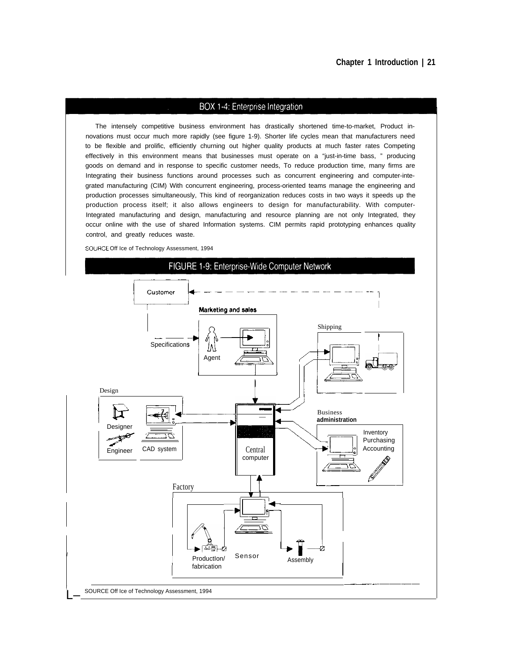#### **Chapter 1 Introduction | 21**

#### BOX 1-4: Enterprise Integration

The intensely competitive business environment has drastically shortened time-to-market, Product innovations must occur much more rapidly (see figure 1-9). Shorter life cycles mean that manufacturers need to be flexible and prolific, efficiently churning out higher quality products at much faster rates Competing effectively in this environment means that businesses must operate on a "just-in-time bass, " producing goods on demand and in response to specific customer needs, To reduce production time, many firms are Integrating their business functions around processes such as concurrent engineering and computer-integrated manufacturing (CIM) With concurrent engineering, process-oriented teams manage the engineering and production processes simultaneously, This kind of reorganization reduces costs in two ways it speeds up the production process itself; it also allows engineers to design for manufacturability. With computer-Integrated manufacturing and design, manufacturing and resource planning are not only Integrated, they occur online with the use of shared Information systems. CIM permits rapid prototyping enhances quality control, and greatly reduces waste.

SOURCE Off Ice of Technology Assessment, 1994

#### FIGURE 1-9: Enterprise-Wide Computer Network

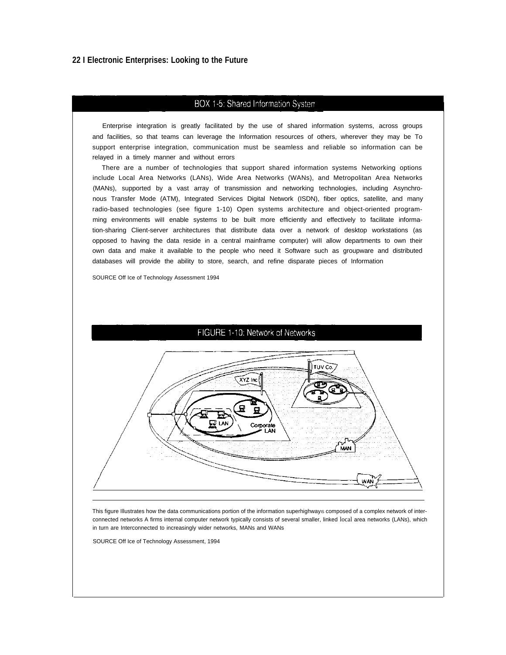## BOX 1-5: Shared Information System

Enterprise integration is greatly facilitated by the use of shared information systems, across groups and facilities, so that teams can leverage the Information resources of others, wherever they may be To support enterprise integration, communication must be seamless and reliable so information can be relayed in a timely manner and without errors

There are a number of technologies that support shared information systems Networking options include Local Area Networks (LANs), Wide Area Networks (WANs), and Metropolitan Area Networks (MANs), supported by a vast array of transmission and networking technologies, including Asynchronous Transfer Mode (ATM), Integrated Services Digital Network (ISDN), fiber optics, satellite, and many radio-based technologies (see figure 1-10) Open systems architecture and object-oriented programming environments wiII enable systems to be built more efficiently and effectively to facilitate information-sharing Client-server architectures that distribute data over a network of desktop workstations (as opposed to having the data reside in a central mainframe computer) wiII allow departments to own their own data and make it available to the people who need it Software such as groupware and distributed databases will provide the ability to store, search, and refine disparate pieces of Information

SOURCE Off Ice of Technology Assessment 1994

#### FIGURE 1-10: Network of Networks



This figure Illustrates how the data communications portion of the information superhighway is composed of a complex network of interconnected networks A firms internal computer network typically consists of several smaller, linked local area networks (LANs), which in turn are Interconnected to increasingly wider networks, MANs and WANs

SOURCE Off Ice of Technology Assessment, 1994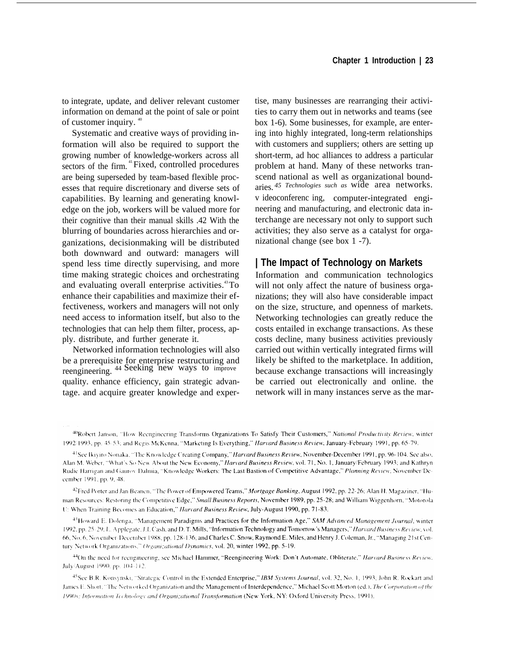to integrate, update, and deliver relevant customer information on demand at the point of sale or point of customer inquiry. <sup>40</sup>

Systematic and creative ways of providing information will also be required to support the growing number of knowledge-workers across all sectors of the firm. <sup>41</sup>Fixed, controlled procedures are being superseded by team-based flexible processes that require discretionary and diverse sets of capabilities. By learning and generating knowledge on the job, workers will be valued more for their cognitive than their manual skills .42 With the blurring of boundaries across hierarchies and organizations, decisionmaking will be distributed both downward and outward: managers will spend less time directly supervising, and more time making strategic choices and orchestrating and evaluating overall enterprise activities.<sup>43</sup>To enhance their capabilities and maximize their effectiveness, workers and managers will not only need access to information itself, but also to the technologies that can help them filter, process, apply. distribute, and further generate it.

Networked information technologies will also be a prerequisite for enterprise restructuring and reengineering. 44 Seeking new ways to improve quality. enhance efficiency, gain strategic advantage. and acquire greater knowledge and exper-

tise, many businesses are rearranging their activities to carry them out in networks and teams (see box 1-6). Some businesses, for example, are entering into highly integrated, long-term relationships with customers and suppliers; others are setting up short-term, ad hoc alliances to address a particular problem at hand. Many of these networks transcend national as well as organizational boundaries. *45 Technologies such as* wide area networks. v ideoconferenc ing, computer-integrated engineering and manufacturing, and electronic data interchange are necessary not only to support such activities; they also serve as a catalyst for organizational change (see box 1 -7).

## **| The Impact of Technology on Markets**

Information and communication technologics will not only affect the nature of business organizations; they will also have considerable impact on the size, structure, and openness of markets. Networking technologies can greatly reduce the costs entailed in exchange transactions. As these costs decline, many business activities previously carried out within vertically integrated firms will likely be shifted to the marketplace. In addition, because exchange transactions will increasingly be carried out electronically and online. the network will in many instances serve as the mar-

<sup>42</sup>Fred Porter and Jan Beanen, "The Power of Empowered Teams," *Mortgage Banking*, August 1992, pp. 22-26; Alan H. Magaziner, "Human Resources: Restoring the Competitive Edge," Small Business Reports, November 1989, pp. 25-28; and William Wiggenhorn, "Motorola U: When Training Becomes an Education," Harvard Business Review, July-August 1990, pp. 71-83.

<sup>43</sup>Howard E. Dolenga, "Management Paradigms and Practices for the Information Age," SAM Advanced Management Journal, winter 1992, pp. 25-29; L. Applegate, J.I. Cash, and D. T. Mills, "Information Technology and Tomorrow's Managers," Harvard Business Review, vol. 66, No. 6, November-December 1988, pp. 128-136; and Charles C. Snow, Raymond E. Miles, and Henry J. Coleman, Jr., "Managing 21st Century Network Organizations," Organizational Dynamics, vol. 20, winter 1992, pp. 5-19.

<sup>44</sup>On the need for reengineering, see Michael Hammer, "Reengineering Work: Don't Automate, Obliterate," Harvard Business Review. July/August 1990, pp. 104-112.

<sup>45</sup>See B.R. Konsynski, "Strategic Control in the Extended Enterprise," IBM Systems Journal, vol. 32, No. 1, 1993; John R. Rockart and James E. Short, "The Networked Organization and the Management of Interdependence," Michael Scott Morton (ed.), The Corporation of the 1990s; Information Technology and Organizational Transformation (New York, NY: Oxford University Press, 1991).

<sup>40</sup>Robert Janson, "How Reengineering Transforms Organizations To Satisfy Their Customers," National Productivity Review, winter 1992/1993, pp. 45-53; and Regis McKenna, "Marketing Is Everything," Harvard Business Review, January-February 1991, pp. 65-79.

<sup>&</sup>lt;sup>41</sup>See Ikiviro Nonaka, "The Knowledge Creating Company," *Harvard Business Review*, November-December 1991, pp. 96-104. See also, Alan M. Weber, "What's So New About the New Economy," Harvard Business Review, vol. 71, No. 1, January/February 1993; and Kathryn Rudie Harrigan and Gaurov Dalmia, "Knowledge Workers: The Last Bastion of Competitive Advantage," Planning Review, November/December 1991, pp. 9, 48.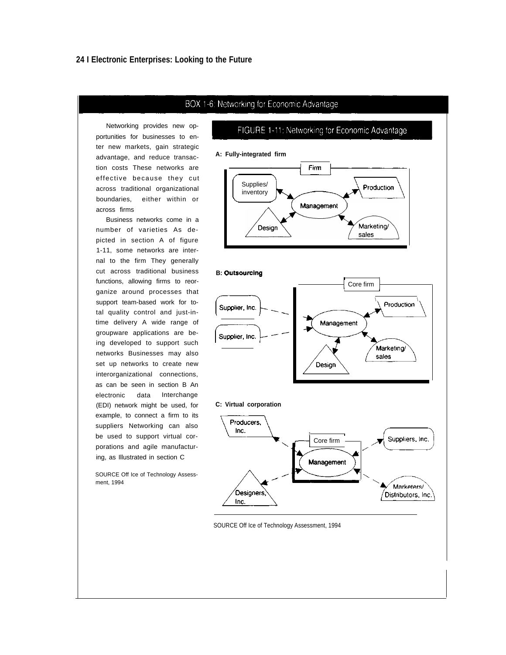#### BOX 1-6: Networking for Economic Advantage

Networking provides new opportunities for businesses to enter new markets, gain strategic advantage, and reduce transaction costs These networks are effective because they cut across traditional organizational boundaries, either within or across firms

Business networks come in a number of varieties As depicted in section A of figure 1-11, some networks are internal to the firm They generally cut across traditional business functions, allowing firms to reorganize around processes that support team-based work for total quality control and just-intime delivery A wide range of groupware applications are being developed to support such networks Businesses may also set up networks to create new interorganizational connections, as can be seen in section B An electronic data Interchange (EDI) network might be used, for example, to connect a firm to its suppliers Networking can also be used to support virtual corporations and agile manufacturing, as Illustrated in section C

SOURCE Off Ice of Technology Assessment, 1994



FIGURE 1-11: Networking for Economic Advantage



#### **B: Outsourcing**



#### **C: Virtual corporation**



#### SOURCE Off Ice of Technology Assessment, 1994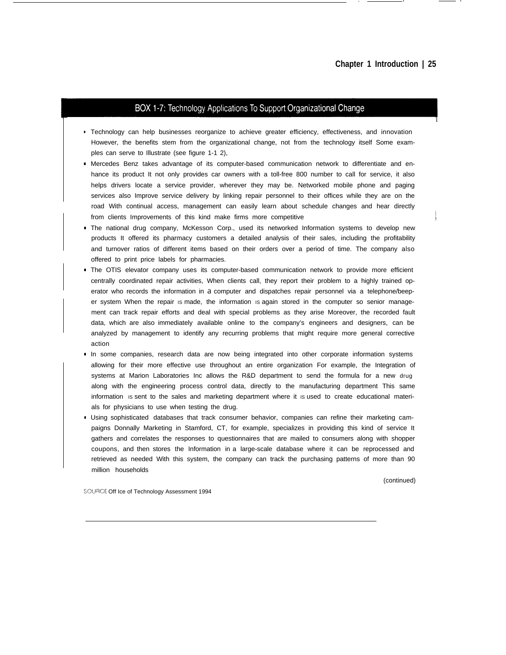I

## BOX 1-7: Technology Applications To Support Organizational Change

- **•** Technology can help businesses reorganize to achieve greater efficiency, effectiveness, and innovation However, the benefits stem from the organizational change, not from the technology itself Some examples can serve to Illustrate (see figure 1-1 2),
- Mercedes Benz takes advantage of its computer-based communication network to differentiate and enhance its product It not only provides car owners with a toll-free 800 number to call for service, it also helps drivers locate a service provider, wherever they may be. Networked mobile phone and paging services also Improve service delivery by linking repair personnel to their offices while they are on the road With continual access, management can easily learn about schedule changes and hear directly from clients Improvements of this kind make firms more competitive
- The national drug company, McKesson Corp., used its networked Information systems to develop new products It offered its pharmacy customers a detailed analysis of their sales, including the profitability and turnover ratios of different items based on their orders over a period of time. The company also offered to print price labels for pharmacies.
- **The OTIS elevator company uses its computer-based communication network to provide more efficient** centrally coordinated repair activities, When clients call, they report their problem to a highly trained operator who records the information in a computer and dispatches repair personnel via a telephone/beeper system When the repair Is made, the information Is again stored in the computer so senior management can track repair efforts and deal with special problems as they arise Moreover, the recorded fault data, which are also immediately available online to the company's engineers and designers, can be analyzed by management to identify any recurring problems that might require more general corrective action
- In some companies, research data are now being integrated into other corporate information systems allowing for their more effective use throughout an entire organization For example, the Integration of systems at Marion Laboratories Inc allows the R&D department to send the formula for a new drug along with the engineering process control data, directly to the manufacturing department This same information is sent to the sales and marketing department where it is used to create educational materials for physicians to use when testing the drug.
- Using sophisticated databases that track consumer behavior, companies can refine their marketing campaigns Donnally Marketing in Stamford, CT, for example, specializes in providing this kind of service It gathers and correlates the responses to questionnaires that are mailed to consumers along with shopper coupons, and then stores the Information in a large-scale database where it can be reprocessed and retrieved as needed With this system, the company can track the purchasing patterns of more than 90 million households

(continued)

SOLJRCE Off Ice of Technology Assessment 1994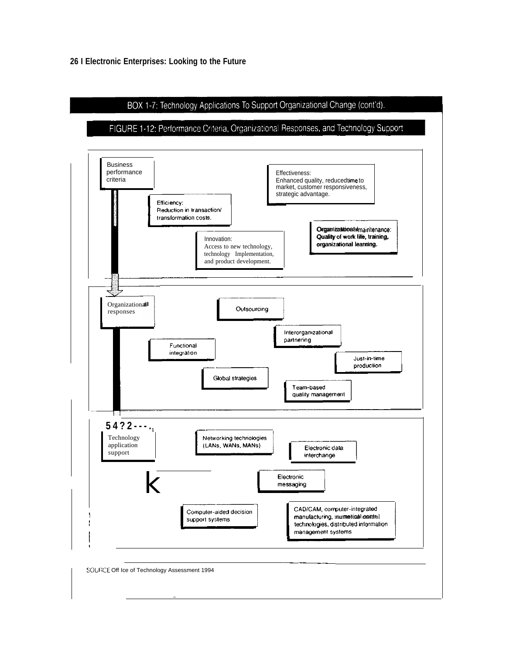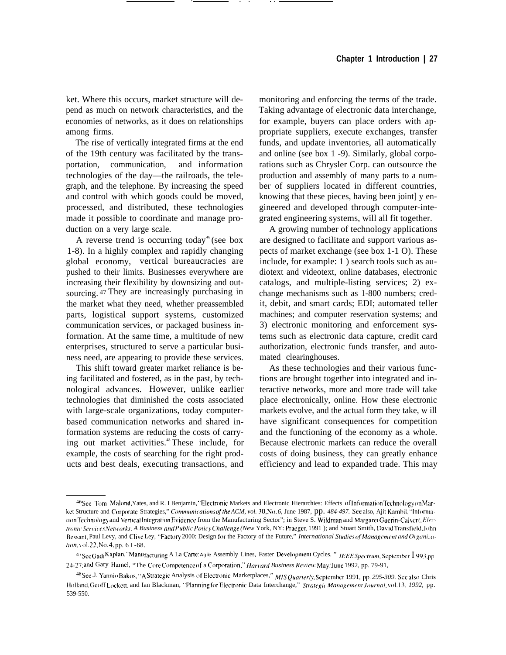ket. Where this occurs, market structure will depend as much on network characteristics, and the economies of networks, as it does on relationships among firms.

The rise of vertically integrated firms at the end of the 19th century was facilitated by the transportation, communication, and information technologies of the day—the railroads, the telegraph, and the telephone. By increasing the speed and control with which goods could be moved, processed, and distributed, these technologies made it possible to coordinate and manage production on a very large scale.

A reverse trend is occurring today<sup>46</sup> (see box 1-8). In a highly complex and rapidly changing global economy, vertical bureaucracies are pushed to their limits. Businesses everywhere are increasing their flexibility by downsizing and outsourcing. <sup>47</sup>They are increasingly purchasing in the market what they need, whether preassembled parts, logistical support systems, customized communication services, or packaged business information. At the same time, a multitude of new enterprises, structured to serve a particular business need, are appearing to provide these services.

This shift toward greater market reliance is being facilitated and fostered, as in the past, by technological advances. However, unlike earlier technologies that diminished the costs associated with large-scale organizations, today computerbased communication networks and shared information systems are reducing the costs of carrying out market activities.<sup>48</sup> These include, for example, the costs of searching for the right products and best deals, executing transactions, and monitoring and enforcing the terms of the trade. Taking advantage of electronic data interchange, for example, buyers can place orders with appropriate suppliers, execute exchanges, transfer funds, and update inventories, all automatically and online (see box 1 -9). Similarly, global corporations such as Chrysler Corp. can outsource the production and assembly of many parts to a number of suppliers located in different countries, knowing that these pieces, having been joint] y engineered and developed through computer-integrated engineering systems, will all fit together.

A growing number of technology applications are designed to facilitate and support various aspects of market exchange (see box 1-1 O). These include, for example: 1 ) search tools such as audiotext and videotext, online databases, electronic catalogs, and multiple-listing services; 2) exchange mechanisms such as 1-800 numbers; credit, debit, and smart cards; EDI; automated teller machines; and computer reservation systems; and 3) electronic monitoring and enforcement systems such as electronic data capture, credit card authorization, electronic funds transfer, and automated clearinghouses.

As these technologies and their various functions are brought together into integrated and interactive networks, more and more trade will take place electronically, online. How these electronic markets evolve, and the actual form they take, w ill have significant consequences for competition and the functioning of the economy as a whole. Because electronic markets can reduce the overall costs of doing business, they can greatly enhance efficiency and lead to expanded trade. This may

<sup>&</sup>lt;sup>46</sup>See Tom Malond, Yates, and R. I Benjamin, "Electronic Markets and Electronic Hierarchies: Effects of Information Technology on Market Structure and Corporate Strategies," *Communications of the ACM, vol.* 30, No. 6, June 1987, pp. 484-497. See also, Ajit Kambil, "Information Technology and Vertical Integration Evidence from the Manufacturing Sector"; in Steve S. Wildman and Margaret Guerin-Calvert, Elec*tronic Services Networks: A Business and Public Policy Challenge (New York, NY: Praeger, 1991); and Stuart Smith, David Transfield, John* Bessant, Paul Levy, and Clive Ley, "Factory 2000: Design for the Factory of the Future," *International Studies of Management and Organizahon*, vol. 22, No. 4, pp. 6 1 -68.

<sup>47</sup>See Gadi Kaplan, "Manu facturing A La Carte: Agile Assembly Lines, Faster Development Cycles. " IEEE Spectrum, September I 993, pp 24-27; and Gary Hamel, "The Core Competence of a Corporation," *Harvard Business Review*, May/June 1992, pp. 79-91,

<sup>&</sup>lt;sup>48</sup>See J. Yannio Bakos, "A Strategic Analysis of Electronic Marketplaces," MIS Quarterly, September 1991, pp. 295-309. See also Chris }{olland. Geoff L{wkc[t, and Ian Blackman, "LPlannlng f{)r Electrtmic Data Interchange," *.\$~rategic Mana~cmcnt Journal, YOI. 13, 1992,* pp. 539-550.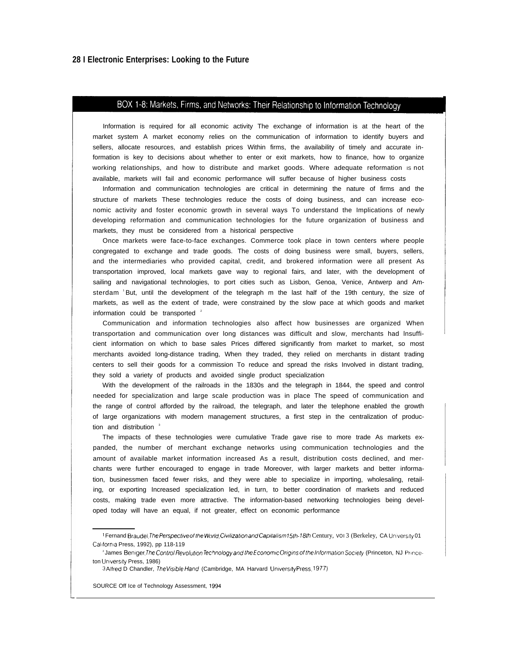## BOX 1-8: Markets, Firms, and Networks: Their Relationship to Information Technology

Information is required for all economic activity The exchange of information is at the heart of the market system A market economy relies on the communication of information to identify buyers and sellers, allocate resources, and establish prices Within firms, the availability of timely and accurate information is key to decisions about whether to enter or exit markets, how to finance, how to organize working relationships, and how to distribute and market goods. Where adequate reformation is not available, markets wiII fail and economic performance will suffer because of higher business costs

Information and communication technologies are critical in determining the nature of firms and the structure of markets These technologies reduce the costs of doing business, and can increase economic activity and foster economic growth in several ways To understand the Implications of newly developing reformation and communication technologies for the future organization of business and markets, they must be considered from a historical perspective

Once markets were face-to-face exchanges. Commerce took place in town centers where people congregated to exchange and trade goods. The costs of doing business were small, buyers, sellers, and the intermediaries who provided capital, credit, and brokered information were all present As transportation improved, local markets gave way to regional fairs, and later, with the development of sailing and navigational technologies, to port cities such as Lisbon, Genoa, Venice, Antwerp and Amsterdam <sup>1</sup>But, until the development of the telegraph m the last half of the 19th century, the size of markets, as well as the extent of trade, were constrained by the slow pace at which goods and market information could be transported <sup>2</sup>

Communication and information technologies also affect how businesses are organized When transportation and communication over long distances was difficult and slow, merchants had lnsufficient information on which to base sales Prices differed significantly from market to market, so most merchants avoided Iong-distance trading, When they traded, they relied on merchants in distant trading centers to sell their goods for a commission To reduce and spread the risks Involved in distant trading, they sold a variety of products and avoided single product specialization

With the development of the railroads in the 1830s and the telegraph in 1844, the speed and control needed for specialization and large scale production was in place The speed of communication and the range of control afforded by the railroad, the telegraph, and later the telephone enabled the growth of large organizations with modern management structures, a first step in the centralization of production and distribution

The impacts of these technologies were cumulative Trade gave rise to more trade As markets expanded, the number of merchant exchange networks using communication technologies and the amount of available market information increased As a result, distribution costs declined, and merchants were further encouraged to engage in trade Moreover, with larger markets and better information, businessmen faced fewer risks, and they were able to specialize in importing, wholesaling, retailing, or exporting Increased specialization led, in turn, to better coordination of markets and reduced costs, making trade even more attractive. The information-based networking technologies being developed today will have an equal, if not greater, effect on economic performance

<sup>&</sup>lt;sup>1</sup> Fernand Braudel, *The Perspective of the World, Civilization and Capitalism15th-18th Century, VOI 3 (Berkeley, CA University 01)* Callforma Press, 1992), pp 118-119

<sup>&</sup>lt;sup>2</sup> James Beniger, The Control Revolution Technology and the Economic Origins of the Information Society (Princeton, NJ Princeton University Press, 1986)

<sup>3</sup> Alfred D Chandler, *The Visible Hand* (Cambridge, MA Harvard University Press, 1977)

SOURCE Off Ice of Technology Assessment, 1994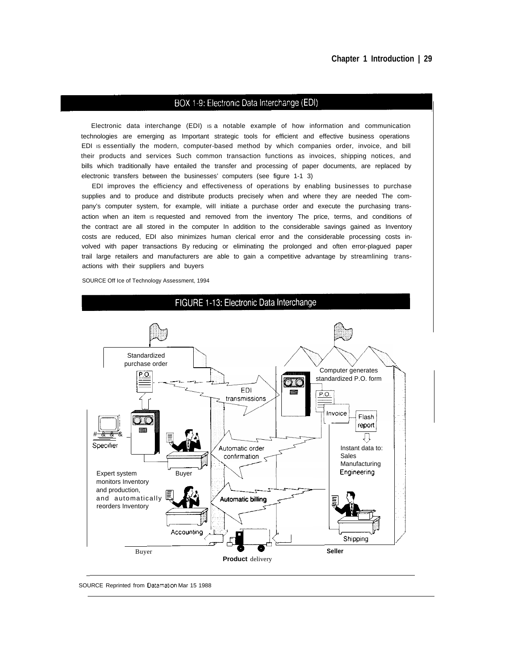#### BOX 1-9: Electronic Data Interchange (EDI)

Electronic data interchange (EDI) IS a notable example of how information and communication technologies are emerging as Important strategic tools for efficient and effective business operations EDI IS essentially the modern, computer-based method by which companies order, invoice, and bill their products and services Such common transaction functions as invoices, shipping notices, and bills which traditionally have entailed the transfer and processing of paper documents, are replaced by electronic transfers between the businesses' computers (see figure 1-1 3)

EDI improves the efficiency and effectiveness of operations by enabling businesses to purchase supplies and to produce and distribute products precisely when and where they are needed The company's computer system, for example, wiII initiate a purchase order and execute the purchasing transaction when an item is requested and removed from the inventory The price, terms, and conditions of the contract are all stored in the computer In addition to the considerable savings gained as Inventory costs are reduced, EDI also minimizes human clerical error and the considerable processing costs involved with paper transactions By reducing or eliminating the prolonged and often error-plagued paper trail large retailers and manufacturers are able to gain a competitive advantage by streamlining transactions with their suppliers and buyers

SOURCE Off Ice of Technology Assessment, 1994



FIGURE 1-13: Electronic Data Interchange

SOURCE Reprinted from Datamation Mar 15 1988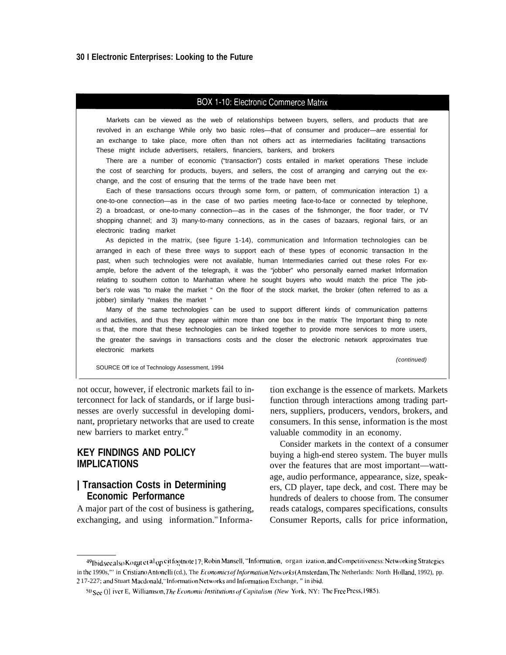### BOX 1-10: Electronic Commerce Matrix

Markets can be viewed as the web of relationships between buyers, sellers, and products that are revolved in an exchange While only two basic roles—that of consumer and producer—are essential for an exchange to take place, more often than not others act as intermediaries facilitating transactions These might include advertisers, retailers, financiers, bankers, and brokers

There are a number of economic ("transaction") costs entailed in market operations These include the cost of searching for products, buyers, and sellers, the cost of arranging and carrying out the exchange, and the cost of ensuring that the terms of the trade have been met

Each of these transactions occurs through some form, or pattern, of communication interaction 1) a one-to-one connection—as in the case of two parties meeting face-to-face or connected by telephone, 2) a broadcast, or one-to-many connection—as in the cases of the fishmonger, the floor trader, or TV shopping channel; and 3) many-to-many connections, as in the cases of bazaars, regional fairs, or an electronic trading market

As depicted in the matrix, (see figure 1-14), communication and Information technologies can be arranged in each of these three ways to support each of these types of economic transaction In the past, when such technologies were not available, human Intermediaries carried out these roles For example, before the advent of the telegraph, it was the "jobber" who personally earned market Information relating to southern cotton to Manhattan where he sought buyers who would match the price The jobber's role was "to make the market " On the floor of the stock market, the broker (often referred to as a jobber) similarly "makes the market "

Many of the same technologies can be used to support different kinds of communication patterns and activities, and thus they appear within more than one box in the matrix The Important thing to note IS that, the more that these technologies can be Iinked together to provide more services to more users, the greater the savings in transactions costs and the closer the electronic network approximates true electronic markets

SOURCE Off Ice of Technology Assessment, 1994

(continued)

not occur, however, if electronic markets fail to in- tion exchange is the essence of markets. Markets terconnect for lack of standards, or if large businesses are overly successful in developing dominant, proprietary networks that are used to create new barriers to market entry.<sup>49</sup>

## **KEY FINDINGS AND POLICY IMPLICATIONS**

## **| Transaction Costs in Determining Economic Performance**

A major part of the cost of business is gathering, exchanging, and using information.<sup>®</sup> Informafunction through interactions among trading partners, suppliers, producers, vendors, brokers, and consumers. In this sense, information is the most valuable commodity in an economy.

Consider markets in the context of a consumer buying a high-end stereo system. The buyer mulls over the features that are most important—wattage, audio performance, appearance, size, speakers, CD player, tape deck, and cost. There may be hundreds of dealers to choose from. The consumer reads catalogs, compares specifications, consults Consumer Reports, calls for price information,

<sup>&</sup>lt;sup>49</sup>Ibid see also Kogut et <sup>al</sup> op <sup>cit footnote 17; Robin Mansell, ''Information,organ-ization, and Competitiveness: Networking Strategies</sup> in the 1990s,"' in Cristiano Antonelli (cd.), The *Economics of Information Networks* (Amsterdam, The Netherlands: North Holland, 1992), pp. 2 17-227; and Stuart Macdonald, "Information Networks and Information Exchange, " in ibid.

<sup>50</sup> See ()] iver E, Williamson, *The Economic Institutions of Capitalism (New York, NY*: The Free Press, 1985).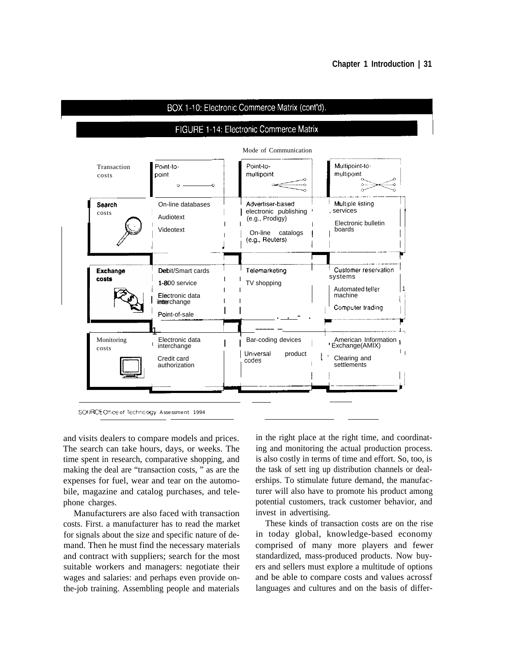#### BOX 1-10: Electronic Commerce Matrix (cont'd).

#### FIGURE 1-14: Electronic Commerce Matrix



and visits dealers to compare models and prices. The search can take hours, days, or weeks. The time spent in research, comparative shopping, and making the deal are "transaction costs, " as are the expenses for fuel, wear and tear on the automobile, magazine and catalog purchases, and telephone charges.

Manufacturers are also faced with transaction costs. First. a manufacturer has to read the market for signals about the size and specific nature of demand. Then he must find the necessary materials and contract with suppliers; search for the most suitable workers and managers: negotiate their wages and salaries: and perhaps even provide onthe-job training. Assembling people and materials

in the right place at the right time, and coordinating and monitoring the actual production process. is also costly in terms of time and effort. So, too, is the task of sett ing up distribution channels or dealerships. To stimulate future demand, the manufacturer will also have to promote his product among potential customers, track customer behavior, and invest in advertising.

These kinds of transaction costs are on the rise in today global, knowledge-based economy comprised of many more players and fewer standardized, mass-produced products. Now buyers and sellers must explore a multitude of options and be able to compare costs and values acrossf languages and cultures and on the basis of differ-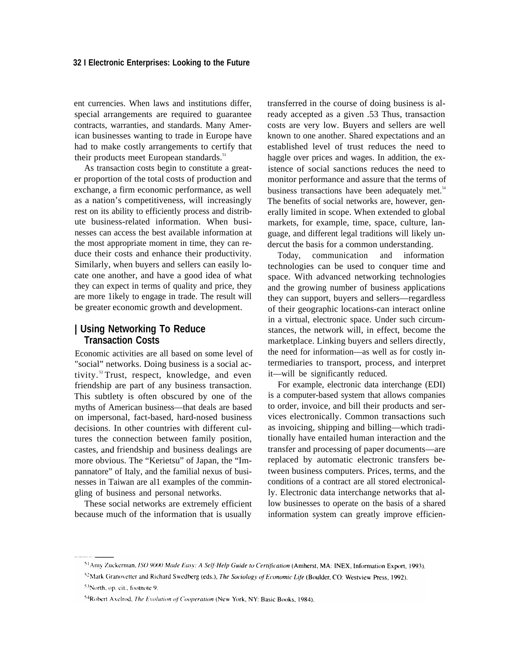ent currencies. When laws and institutions differ, special arrangements are required to guarantee contracts, warranties, and standards. Many American businesses wanting to trade in Europe have had to make costly arrangements to certify that their products meet European standards.<sup>51</sup>

As transaction costs begin to constitute a greater proportion of the total costs of production and exchange, a firm economic performance, as well as a nation's competitiveness, will increasingly rest on its ability to efficiently process and distribute business-related information. When businesses can access the best available information at the most appropriate moment in time, they can reduce their costs and enhance their productivity. Similarly, when buyers and sellers can easily locate one another, and have a good idea of what they can expect in terms of quality and price, they are more 1ikely to engage in trade. The result will be greater economic growth and development.

#### **| Using Networking To Reduce Transaction Costs**

Economic activities are all based on some level of "social" networks. Doing business is a social activity.<sup>52</sup> Trust, respect, knowledge, and even friendship are part of any business transaction. This subtlety is often obscured by one of the myths of American business—that deals are based on impersonal, fact-based, hard-nosed business decisions. In other countries with different cultures the connection between family position, castes, and friendship and business dealings are more obvious. The "Kerietsu" of Japan, the "Impannatore" of Italy, and the familial nexus of businesses in Taiwan are al1 examples of the commingling of business and personal networks.

These social networks are extremely efficient because much of the information that is usually

transferred in the course of doing business is already accepted as a given .53 Thus, transaction costs are very low. Buyers and sellers are well known to one another. Shared expectations and an established level of trust reduces the need to haggle over prices and wages. In addition, the existence of social sanctions reduces the need to monitor performance and assure that the terms of business transactions have been adequately met. $54$ The benefits of social networks are, however, generally limited in scope. When extended to global markets, for example, time, space, culture, language, and different legal traditions will likely undercut the basis for a common understanding.

Today, communication and information technologies can be used to conquer time and space. With advanced networking technologies and the growing number of business applications they can support, buyers and sellers—regardless of their geographic locations-can interact online in a virtual, electronic space. Under such circumstances, the network will, in effect, become the marketplace. Linking buyers and sellers directly, the need for information—as well as for costly intermediaries to transport, process, and interpret it—will be significantly reduced.

For example, electronic data interchange (EDI) is a computer-based system that allows companies to order, invoice, and bill their products and services electronically. Common transactions such as invoicing, shipping and billing—which traditionally have entailed human interaction and the transfer and processing of paper documents—are replaced by automatic electronic transfers between business computers. Prices, terms, and the conditions of a contract are all stored electronically. Electronic data interchange networks that allow businesses to operate on the basis of a shared information system can greatly improve efficien-

<sup>&</sup>lt;sup>51</sup>Amy Zuckerman, ISO 9000 Made Easy: A Self-Help Guide to Certification (Amherst, MA: INEX, Information Export, 1993).

<sup>&</sup>lt;sup>52</sup>Mark Granovetter and Richard Swedberg (eds.), *The Sociology of Economic Life* (Boulder, CO: Westview Press, 1992).

<sup>&</sup>lt;sup>53</sup>North, op. cit., footnote 9.

<sup>&</sup>lt;sup>54</sup>Robert Axelrod, *The Evolution of Cooperation* (New York, NY: Basic Books, 1984).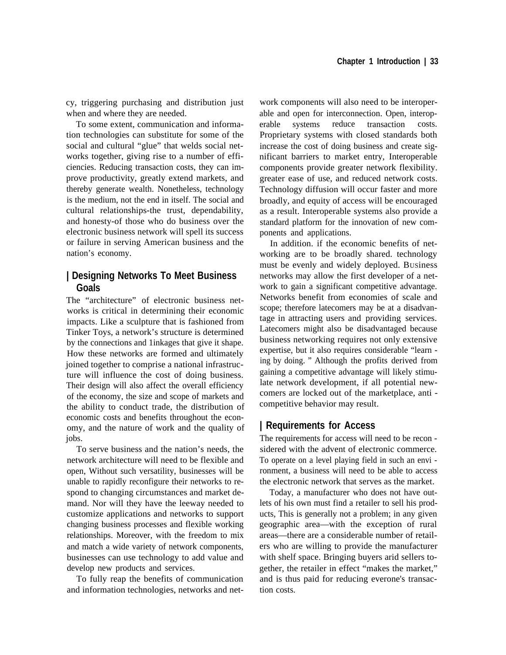cy, triggering purchasing and distribution just when and where they are needed.

To some extent, communication and information technologies can substitute for some of the social and cultural "glue" that welds social networks together, giving rise to a number of efficiencies. Reducing transaction costs, they can improve productivity, greatly extend markets, and thereby generate wealth. Nonetheless, technology is the medium, not the end in itself. The social and cultural relationships-the trust, dependability, and honesty-of those who do business over the electronic business network will spell its success or failure in serving American business and the nation's economy.

## **| Designing Networks To Meet Business Goals**

The "architecture" of electronic business networks is critical in determining their economic impacts. Like a sculpture that is fashioned from Tinker Toys, a network's structure is determined by the connections and 1inkages that give it shape. How these networks are formed and ultimately joined together to comprise a national infrastructure will influence the cost of doing business. Their design will also affect the overall efficiency of the economy, the size and scope of markets and the ability to conduct trade, the distribution of economic costs and benefits throughout the economy, and the nature of work and the quality of jobs.

To serve business and the nation's needs, the network architecture will need to be flexible and open, Without such versatility, businesses will be unable to rapidly reconfigure their networks to respond to changing circumstances and market demand. Nor will they have the leeway needed to customize applications and networks to support changing business processes and flexible working relationships. Moreover, with the freedom to mix and match a wide variety of network components, businesses can use technology to add value and develop new products and services.

To fully reap the benefits of communication and information technologies, networks and net-

work components will also need to be interoperable and open for interconnection. Open, interoperable systems reduce transaction costs. Proprietary systems with closed standards both increase the cost of doing business and create significant barriers to market entry, Interoperable components provide greater network flexibility. greater ease of use, and reduced network costs. Technology diffusion will occur faster and more broadly, and equity of access will be encouraged as a result. Interoperable systems also provide a standard platform for the innovation of new components and applications.

In addition. if the economic benefits of networking are to be broadly shared. technology must be evenly and widely deployed. BUSiness networks may allow the first developer of a network to gain a significant competitive advantage. Networks benefit from economies of scale and scope; therefore latecomers may be at a disadvantage in attracting users and providing services. Latecomers might also be disadvantaged because business networking requires not only extensive expertise, but it also requires considerable "learn ing by doing. " Although the profits derived from gaining a competitive advantage will likely stimulate network development, if all potential newcomers are locked out of the marketplace, anti competitive behavior may result.

# **| Requirements for Access**

The requirements for access will need to be recon sidered with the advent of electronic commerce. To operate on a level playing field in such an envi ronment, a business will need to be able to access the electronic network that serves as the market.

Today, a manufacturer who does not have outlets of his own must find a retailer to sell his products, This is generally not a problem; in any given geographic area—with the exception of rural areas—there are a considerable number of retailers who are willing to provide the manufacturer with shelf space. Bringing buyers arid sellers together, the retailer in effect "makes the market," and is thus paid for reducing everone's transaction costs.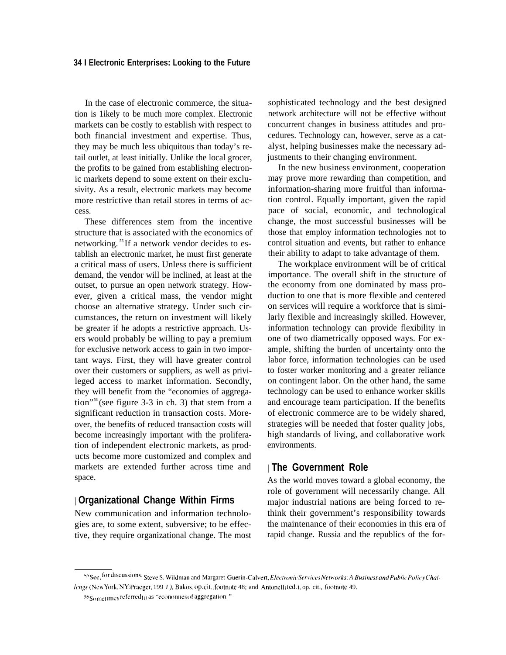In the case of electronic commerce, the situation is 1ikely to be much more complex. Electronic markets can be costly to establish with respect to both financial investment and expertise. Thus, they may be much less ubiquitous than today's retail outlet, at least initially. Unlike the local grocer, the profits to be gained from establishing electronic markets depend to some extent on their exclusivity. As a result, electronic markets may become more restrictive than retail stores in terms of access.

These differences stem from the incentive structure that is associated with the economics of networking.<sup>55</sup>If a network vendor decides to establish an electronic market, he must first generate a critical mass of users. Unless there is sufficient demand, the vendor will be inclined, at least at the outset, to pursue an open network strategy. However, given a critical mass, the vendor might choose an alternative strategy. Under such circumstances, the return on investment will likely be greater if he adopts a restrictive approach. Users would probably be willing to pay a premium for exclusive network access to gain in two important ways. First, they will have greater control over their customers or suppliers, as well as privileged access to market information. Secondly, they will benefit from the "economies of aggregation"<sup>56</sup>(see figure 3-3 in ch. 3) that stem from a significant reduction in transaction costs. Moreover, the benefits of reduced transaction costs will become increasingly important with the proliferation of independent electronic markets, as products become more customized and complex and markets are extended further across time and space.

## | **Organizational Change Within Firms**

New communication and information technologies are, to some extent, subversive; to be effective, they require organizational change. The most

sophisticated technology and the best designed network architecture will not be effective without concurrent changes in business attitudes and procedures. Technology can, however, serve as a catalyst, helping businesses make the necessary adjustments to their changing environment.

In the new business environment, cooperation may prove more rewarding than competition, and information-sharing more fruitful than information control. Equally important, given the rapid pace of social, economic, and technological change, the most successful businesses will be those that employ information technologies not to control situation and events, but rather to enhance their ability to adapt to take advantage of them.

The workplace environment will be of critical importance. The overall shift in the structure of the economy from one dominated by mass production to one that is more flexible and centered on services will require a workforce that is similarly flexible and increasingly skilled. However, information technology can provide flexibility in one of two diametrically opposed ways. For example, shifting the burden of uncertainty onto the labor force, information technologies can be used to foster worker monitoring and a greater reliance on contingent labor. On the other hand, the same technology can be used to enhance worker skills and encourage team participation. If the benefits of electronic commerce are to be widely shared, strategies will be needed that foster quality jobs, high standards of living, and collaborative work environments.

#### | **The Government Role**

As the world moves toward a global economy, the role of government will necessarily change. All major industrial nations are being forced to rethink their government's responsibility towards the maintenance of their economies in this era of rapid change. Russia and the republics of the for-

<sup>55</sup> See, for discussions, Steve S. Wildman and Margaret Guerin-Calvert, *Electronic Services Networks: A Business and Public Policy Chal-Ienge* (New York, NY: Praeger, 199 *I* ), Bakos, op. cit., footnote 48; and Antonelli (ed.), op. cit., footnote 49.

<sup>56</sup>Sometimes referred to as "economies of aggregation."